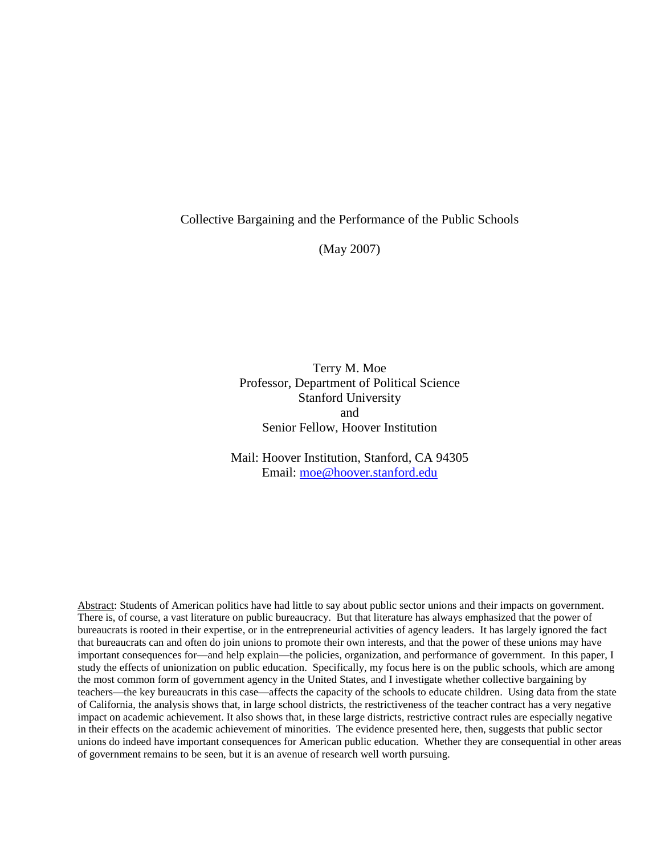### Collective Bargaining and the Performance of the Public Schools

(May 2007)

Terry M. Moe Professor, Department of Political Science Stanford University and Senior Fellow, Hoover Institution

Mail: Hoover Institution, Stanford, CA 94305 Email: [moe@hoover.stanford.edu](mailto:moe@hoover.stanford.edu)

Abstract: Students of American politics have had little to say about public sector unions and their impacts on government. There is, of course, a vast literature on public bureaucracy. But that literature has always emphasized that the power of bureaucrats is rooted in their expertise, or in the entrepreneurial activities of agency leaders. It has largely ignored the fact that bureaucrats can and often do join unions to promote their own interests, and that the power of these unions may have important consequences for—and help explain—the policies, organization, and performance of government. In this paper, I study the effects of unionization on public education. Specifically, my focus here is on the public schools, which are among the most common form of government agency in the United States, and I investigate whether collective bargaining by teachers—the key bureaucrats in this case—affects the capacity of the schools to educate children. Using data from the state of California, the analysis shows that, in large school districts, the restrictiveness of the teacher contract has a very negative impact on academic achievement. It also shows that, in these large districts, restrictive contract rules are especially negative in their effects on the academic achievement of minorities. The evidence presented here, then, suggests that public sector unions do indeed have important consequences for American public education. Whether they are consequential in other areas of government remains to be seen, but it is an avenue of research well worth pursuing.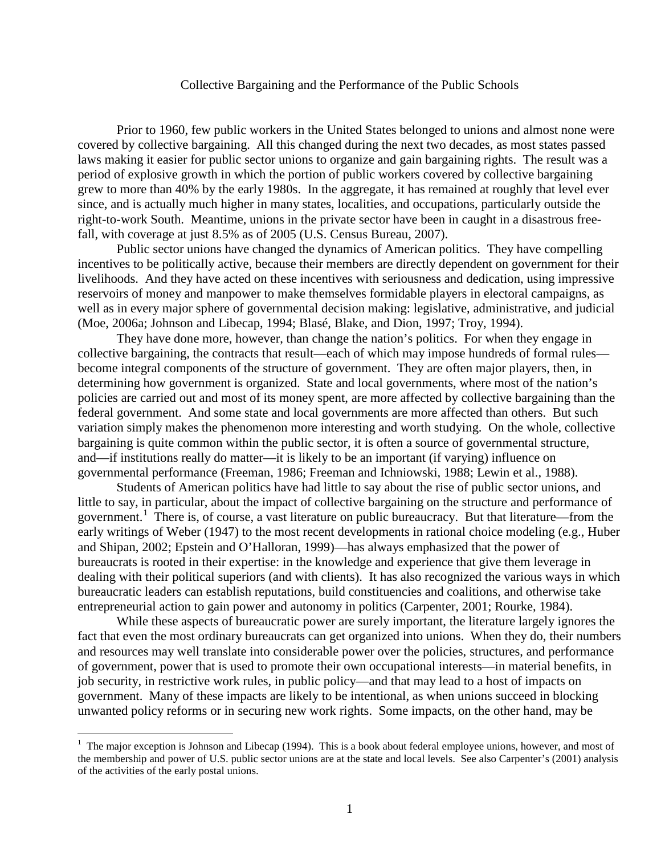#### Collective Bargaining and the Performance of the Public Schools

Prior to 1960, few public workers in the United States belonged to unions and almost none were covered by collective bargaining. All this changed during the next two decades, as most states passed laws making it easier for public sector unions to organize and gain bargaining rights. The result was a period of explosive growth in which the portion of public workers covered by collective bargaining grew to more than 40% by the early 1980s. In the aggregate, it has remained at roughly that level ever since, and is actually much higher in many states, localities, and occupations, particularly outside the right-to-work South. Meantime, unions in the private sector have been in caught in a disastrous freefall, with coverage at just 8.5% as of 2005 (U.S. Census Bureau, 2007).

Public sector unions have changed the dynamics of American politics. They have compelling incentives to be politically active, because their members are directly dependent on government for their livelihoods. And they have acted on these incentives with seriousness and dedication, using impressive reservoirs of money and manpower to make themselves formidable players in electoral campaigns, as well as in every major sphere of governmental decision making: legislative, administrative, and judicial (Moe, 2006a; Johnson and Libecap, 1994; Blasé, Blake, and Dion, 1997; Troy, 1994).

They have done more, however, than change the nation's politics. For when they engage in collective bargaining, the contracts that result—each of which may impose hundreds of formal rules become integral components of the structure of government. They are often major players, then, in determining how government is organized. State and local governments, where most of the nation's policies are carried out and most of its money spent, are more affected by collective bargaining than the federal government. And some state and local governments are more affected than others. But such variation simply makes the phenomenon more interesting and worth studying. On the whole, collective bargaining is quite common within the public sector, it is often a source of governmental structure, and—if institutions really do matter—it is likely to be an important (if varying) influence on governmental performance (Freeman, 1986; Freeman and Ichniowski, 1988; Lewin et al., 1988).

Students of American politics have had little to say about the rise of public sector unions, and little to say, in particular, about the impact of collective bargaining on the structure and performance of government.<sup>[1](#page-1-0)</sup> There is, of course, a vast literature on public bureaucracy. But that literature—from the early writings of Weber (1947) to the most recent developments in rational choice modeling (e.g., Huber and Shipan, 2002; Epstein and O'Halloran, 1999)—has always emphasized that the power of bureaucrats is rooted in their expertise: in the knowledge and experience that give them leverage in dealing with their political superiors (and with clients). It has also recognized the various ways in which bureaucratic leaders can establish reputations, build constituencies and coalitions, and otherwise take entrepreneurial action to gain power and autonomy in politics (Carpenter, 2001; Rourke, 1984).

While these aspects of bureaucratic power are surely important, the literature largely ignores the fact that even the most ordinary bureaucrats can get organized into unions. When they do, their numbers and resources may well translate into considerable power over the policies, structures, and performance of government, power that is used to promote their own occupational interests—in material benefits, in job security, in restrictive work rules, in public policy—and that may lead to a host of impacts on government. Many of these impacts are likely to be intentional, as when unions succeed in blocking unwanted policy reforms or in securing new work rights. Some impacts, on the other hand, may be

<span id="page-1-0"></span> $\frac{1}{1}$ <sup>1</sup> The major exception is Johnson and Libecap (1994). This is a book about federal employee unions, however, and most of the membership and power of U.S. public sector unions are at the state and local levels. See also Carpenter's (2001) analysis of the activities of the early postal unions.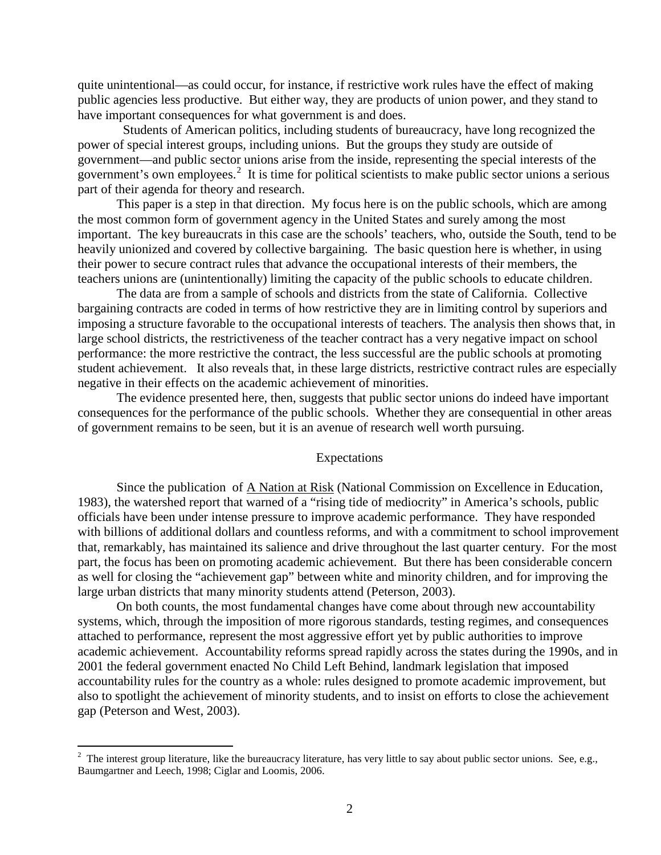quite unintentional—as could occur, for instance, if restrictive work rules have the effect of making public agencies less productive. But either way, they are products of union power, and they stand to have important consequences for what government is and does.

 Students of American politics, including students of bureaucracy, have long recognized the power of special interest groups, including unions. But the groups they study are outside of government—and public sector unions arise from the inside, representing the special interests of the government's own employees.<sup>[2](#page-2-0)</sup> It is time for political scientists to make public sector unions a serious part of their agenda for theory and research.

This paper is a step in that direction. My focus here is on the public schools, which are among the most common form of government agency in the United States and surely among the most important. The key bureaucrats in this case are the schools' teachers, who, outside the South, tend to be heavily unionized and covered by collective bargaining. The basic question here is whether, in using their power to secure contract rules that advance the occupational interests of their members, the teachers unions are (unintentionally) limiting the capacity of the public schools to educate children.

The data are from a sample of schools and districts from the state of California. Collective bargaining contracts are coded in terms of how restrictive they are in limiting control by superiors and imposing a structure favorable to the occupational interests of teachers. The analysis then shows that, in large school districts, the restrictiveness of the teacher contract has a very negative impact on school performance: the more restrictive the contract, the less successful are the public schools at promoting student achievement. It also reveals that, in these large districts, restrictive contract rules are especially negative in their effects on the academic achievement of minorities.

The evidence presented here, then, suggests that public sector unions do indeed have important consequences for the performance of the public schools. Whether they are consequential in other areas of government remains to be seen, but it is an avenue of research well worth pursuing.

## Expectations

Since the publication of A Nation at Risk (National Commission on Excellence in Education, 1983), the watershed report that warned of a "rising tide of mediocrity" in America's schools, public officials have been under intense pressure to improve academic performance. They have responded with billions of additional dollars and countless reforms, and with a commitment to school improvement that, remarkably, has maintained its salience and drive throughout the last quarter century. For the most part, the focus has been on promoting academic achievement. But there has been considerable concern as well for closing the "achievement gap" between white and minority children, and for improving the large urban districts that many minority students attend (Peterson, 2003).

On both counts, the most fundamental changes have come about through new accountability systems, which, through the imposition of more rigorous standards, testing regimes, and consequences attached to performance, represent the most aggressive effort yet by public authorities to improve academic achievement. Accountability reforms spread rapidly across the states during the 1990s, and in 2001 the federal government enacted No Child Left Behind, landmark legislation that imposed accountability rules for the country as a whole: rules designed to promote academic improvement, but also to spotlight the achievement of minority students, and to insist on efforts to close the achievement gap (Peterson and West, 2003).

<span id="page-2-0"></span> $\frac{1}{2}$  $2$  The interest group literature, like the bureaucracy literature, has very little to say about public sector unions. See, e.g., Baumgartner and Leech, 1998; Ciglar and Loomis, 2006.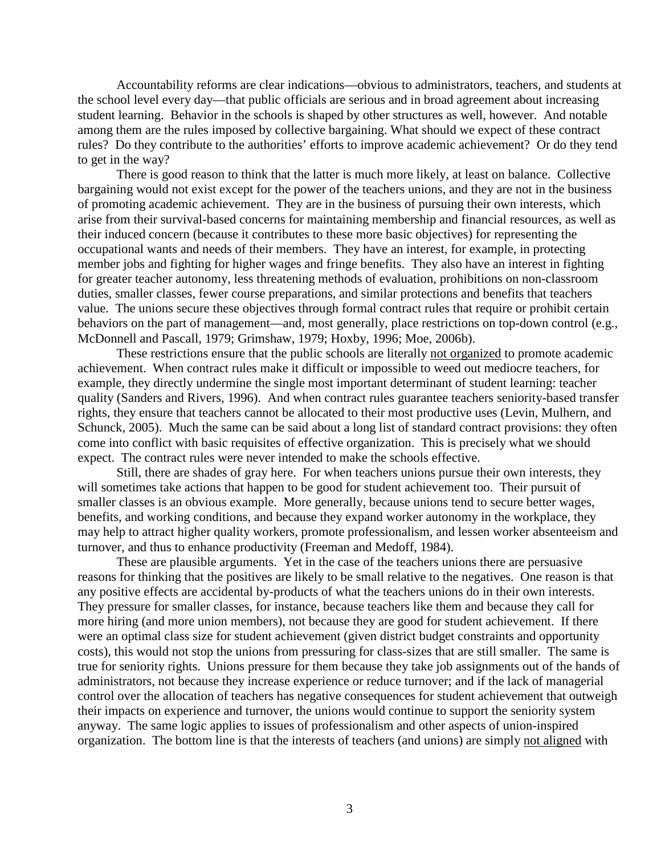Accountability reforms are clear indications—obvious to administrators, teachers, and students at the school level every day—that public officials are serious and in broad agreement about increasing student learning. Behavior in the schools is shaped by other structures as well, however. And notable among them are the rules imposed by collective bargaining. What should we expect of these contract rules? Do they contribute to the authorities' efforts to improve academic achievement? Or do they tend to get in the way?

There is good reason to think that the latter is much more likely, at least on balance. Collective bargaining would not exist except for the power of the teachers unions, and they are not in the business of promoting academic achievement. They are in the business of pursuing their own interests, which arise from their survival-based concerns for maintaining membership and financial resources, as well as their induced concern (because it contributes to these more basic objectives) for representing the occupational wants and needs of their members. They have an interest, for example, in protecting member jobs and fighting for higher wages and fringe benefits. They also have an interest in fighting for greater teacher autonomy, less threatening methods of evaluation, prohibitions on non-classroom duties, smaller classes, fewer course preparations, and similar protections and benefits that teachers value. The unions secure these objectives through formal contract rules that require or prohibit certain behaviors on the part of management—and, most generally, place restrictions on top-down control (e.g., McDonnell and Pascall, 1979; Grimshaw, 1979; Hoxby, 1996; Moe, 2006b).

These restrictions ensure that the public schools are literally not organized to promote academic achievement. When contract rules make it difficult or impossible to weed out mediocre teachers, for example, they directly undermine the single most important determinant of student learning: teacher quality (Sanders and Rivers, 1996). And when contract rules guarantee teachers seniority-based transfer rights, they ensure that teachers cannot be allocated to their most productive uses (Levin, Mulhern, and Schunck, 2005). Much the same can be said about a long list of standard contract provisions: they often come into conflict with basic requisites of effective organization. This is precisely what we should expect. The contract rules were never intended to make the schools effective.

Still, there are shades of gray here. For when teachers unions pursue their own interests, they will sometimes take actions that happen to be good for student achievement too. Their pursuit of smaller classes is an obvious example. More generally, because unions tend to secure better wages, benefits, and working conditions, and because they expand worker autonomy in the workplace, they may help to attract higher quality workers, promote professionalism, and lessen worker absenteeism and turnover, and thus to enhance productivity (Freeman and Medoff, 1984).

These are plausible arguments. Yet in the case of the teachers unions there are persuasive reasons for thinking that the positives are likely to be small relative to the negatives. One reason is that any positive effects are accidental by-products of what the teachers unions do in their own interests. They pressure for smaller classes, for instance, because teachers like them and because they call for more hiring (and more union members), not because they are good for student achievement. If there were an optimal class size for student achievement (given district budget constraints and opportunity costs), this would not stop the unions from pressuring for class-sizes that are still smaller. The same is true for seniority rights. Unions pressure for them because they take job assignments out of the hands of administrators, not because they increase experience or reduce turnover; and if the lack of managerial control over the allocation of teachers has negative consequences for student achievement that outweigh their impacts on experience and turnover, the unions would continue to support the seniority system anyway. The same logic applies to issues of professionalism and other aspects of union-inspired organization. The bottom line is that the interests of teachers (and unions) are simply not aligned with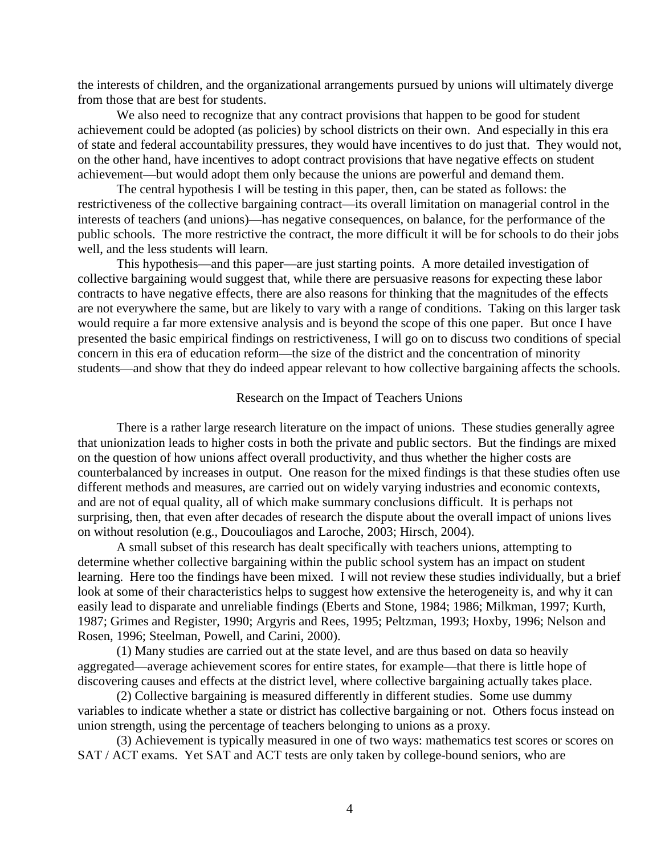the interests of children, and the organizational arrangements pursued by unions will ultimately diverge from those that are best for students.

We also need to recognize that any contract provisions that happen to be good for student achievement could be adopted (as policies) by school districts on their own. And especially in this era of state and federal accountability pressures, they would have incentives to do just that. They would not, on the other hand, have incentives to adopt contract provisions that have negative effects on student achievement—but would adopt them only because the unions are powerful and demand them.

The central hypothesis I will be testing in this paper, then, can be stated as follows: the restrictiveness of the collective bargaining contract—its overall limitation on managerial control in the interests of teachers (and unions)—has negative consequences, on balance, for the performance of the public schools. The more restrictive the contract, the more difficult it will be for schools to do their jobs well, and the less students will learn.

This hypothesis—and this paper—are just starting points. A more detailed investigation of collective bargaining would suggest that, while there are persuasive reasons for expecting these labor contracts to have negative effects, there are also reasons for thinking that the magnitudes of the effects are not everywhere the same, but are likely to vary with a range of conditions. Taking on this larger task would require a far more extensive analysis and is beyond the scope of this one paper. But once I have presented the basic empirical findings on restrictiveness, I will go on to discuss two conditions of special concern in this era of education reform—the size of the district and the concentration of minority students—and show that they do indeed appear relevant to how collective bargaining affects the schools.

#### Research on the Impact of Teachers Unions

There is a rather large research literature on the impact of unions. These studies generally agree that unionization leads to higher costs in both the private and public sectors. But the findings are mixed on the question of how unions affect overall productivity, and thus whether the higher costs are counterbalanced by increases in output. One reason for the mixed findings is that these studies often use different methods and measures, are carried out on widely varying industries and economic contexts, and are not of equal quality, all of which make summary conclusions difficult. It is perhaps not surprising, then, that even after decades of research the dispute about the overall impact of unions lives on without resolution (e.g., Doucouliagos and Laroche, 2003; Hirsch, 2004).

A small subset of this research has dealt specifically with teachers unions, attempting to determine whether collective bargaining within the public school system has an impact on student learning. Here too the findings have been mixed. I will not review these studies individually, but a brief look at some of their characteristics helps to suggest how extensive the heterogeneity is, and why it can easily lead to disparate and unreliable findings (Eberts and Stone, 1984; 1986; Milkman, 1997; Kurth, 1987; Grimes and Register, 1990; Argyris and Rees, 1995; Peltzman, 1993; Hoxby, 1996; Nelson and Rosen, 1996; Steelman, Powell, and Carini, 2000).

(1) Many studies are carried out at the state level, and are thus based on data so heavily aggregated—average achievement scores for entire states, for example—that there is little hope of discovering causes and effects at the district level, where collective bargaining actually takes place.

(2) Collective bargaining is measured differently in different studies. Some use dummy variables to indicate whether a state or district has collective bargaining or not. Others focus instead on union strength, using the percentage of teachers belonging to unions as a proxy.

(3) Achievement is typically measured in one of two ways: mathematics test scores or scores on SAT / ACT exams. Yet SAT and ACT tests are only taken by college-bound seniors, who are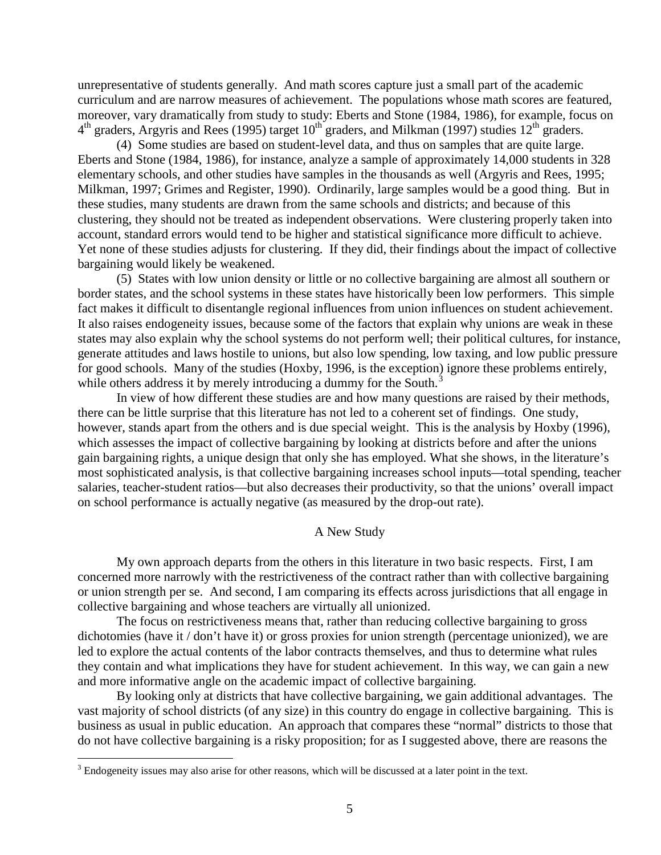unrepresentative of students generally. And math scores capture just a small part of the academic curriculum and are narrow measures of achievement. The populations whose math scores are featured, moreover, vary dramatically from study to study: Eberts and Stone (1984, 1986), for example, focus on 4<sup>th</sup> graders, Argyris and Rees (1995) target 10<sup>th</sup> graders, and Milkman (1997) studies 12<sup>th</sup> graders.

(4) Some studies are based on student-level data, and thus on samples that are quite large. Eberts and Stone (1984, 1986), for instance, analyze a sample of approximately 14,000 students in 328 elementary schools, and other studies have samples in the thousands as well (Argyris and Rees, 1995; Milkman, 1997; Grimes and Register, 1990). Ordinarily, large samples would be a good thing. But in these studies, many students are drawn from the same schools and districts; and because of this clustering, they should not be treated as independent observations. Were clustering properly taken into account, standard errors would tend to be higher and statistical significance more difficult to achieve. Yet none of these studies adjusts for clustering. If they did, their findings about the impact of collective bargaining would likely be weakened.

(5) States with low union density or little or no collective bargaining are almost all southern or border states, and the school systems in these states have historically been low performers. This simple fact makes it difficult to disentangle regional influences from union influences on student achievement. It also raises endogeneity issues, because some of the factors that explain why unions are weak in these states may also explain why the school systems do not perform well; their political cultures, for instance, generate attitudes and laws hostile to unions, but also low spending, low taxing, and low public pressure for good schools. Many of the studies (Hoxby, 1996, is the exception) ignore these problems entirely, while others address it by merely introducing a dummy for the South. $3$ 

In view of how different these studies are and how many questions are raised by their methods, there can be little surprise that this literature has not led to a coherent set of findings. One study, however, stands apart from the others and is due special weight. This is the analysis by Hoxby (1996), which assesses the impact of collective bargaining by looking at districts before and after the unions gain bargaining rights, a unique design that only she has employed. What she shows, in the literature's most sophisticated analysis, is that collective bargaining increases school inputs—total spending, teacher salaries, teacher-student ratios—but also decreases their productivity, so that the unions' overall impact on school performance is actually negative (as measured by the drop-out rate).

## A New Study

My own approach departs from the others in this literature in two basic respects. First, I am concerned more narrowly with the restrictiveness of the contract rather than with collective bargaining or union strength per se. And second, I am comparing its effects across jurisdictions that all engage in collective bargaining and whose teachers are virtually all unionized.

The focus on restrictiveness means that, rather than reducing collective bargaining to gross dichotomies (have it / don't have it) or gross proxies for union strength (percentage unionized), we are led to explore the actual contents of the labor contracts themselves, and thus to determine what rules they contain and what implications they have for student achievement. In this way, we can gain a new and more informative angle on the academic impact of collective bargaining.

By looking only at districts that have collective bargaining, we gain additional advantages. The vast majority of school districts (of any size) in this country do engage in collective bargaining. This is business as usual in public education. An approach that compares these "normal" districts to those that do not have collective bargaining is a risky proposition; for as I suggested above, there are reasons the

<span id="page-5-0"></span><sup>&</sup>lt;sup>3</sup> Endogeneity issues may also arise for other reasons, which will be discussed at a later point in the text.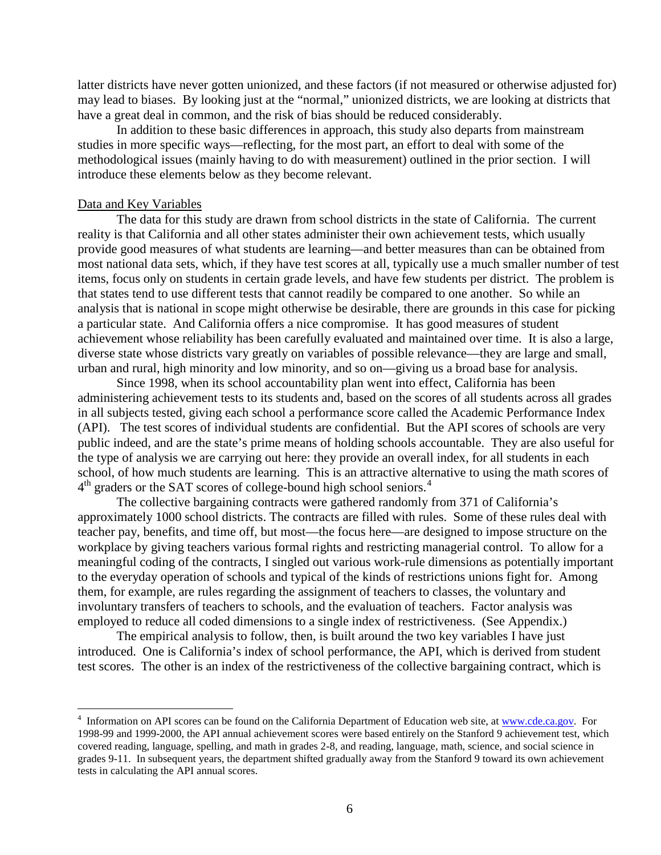latter districts have never gotten unionized, and these factors (if not measured or otherwise adjusted for) may lead to biases. By looking just at the "normal," unionized districts, we are looking at districts that have a great deal in common, and the risk of bias should be reduced considerably.

In addition to these basic differences in approach, this study also departs from mainstream studies in more specific ways—reflecting, for the most part, an effort to deal with some of the methodological issues (mainly having to do with measurement) outlined in the prior section. I will introduce these elements below as they become relevant.

#### Data and Key Variables

The data for this study are drawn from school districts in the state of California. The current reality is that California and all other states administer their own achievement tests, which usually provide good measures of what students are learning—and better measures than can be obtained from most national data sets, which, if they have test scores at all, typically use a much smaller number of test items, focus only on students in certain grade levels, and have few students per district. The problem is that states tend to use different tests that cannot readily be compared to one another. So while an analysis that is national in scope might otherwise be desirable, there are grounds in this case for picking a particular state. And California offers a nice compromise. It has good measures of student achievement whose reliability has been carefully evaluated and maintained over time. It is also a large, diverse state whose districts vary greatly on variables of possible relevance—they are large and small, urban and rural, high minority and low minority, and so on—giving us a broad base for analysis.

Since 1998, when its school accountability plan went into effect, California has been administering achievement tests to its students and, based on the scores of all students across all grades in all subjects tested, giving each school a performance score called the Academic Performance Index (API). The test scores of individual students are confidential. But the API scores of schools are very public indeed, and are the state's prime means of holding schools accountable. They are also useful for the type of analysis we are carrying out here: they provide an overall index, for all students in each school, of how much students are learning. This is an attractive alternative to using the math scores of  $4<sup>th</sup>$  $4<sup>th</sup>$  graders or the SAT scores of college-bound high school seniors.<sup>4</sup>

The collective bargaining contracts were gathered randomly from 371 of California's approximately 1000 school districts. The contracts are filled with rules. Some of these rules deal with teacher pay, benefits, and time off, but most—the focus here—are designed to impose structure on the workplace by giving teachers various formal rights and restricting managerial control. To allow for a meaningful coding of the contracts, I singled out various work-rule dimensions as potentially important to the everyday operation of schools and typical of the kinds of restrictions unions fight for. Among them, for example, are rules regarding the assignment of teachers to classes, the voluntary and involuntary transfers of teachers to schools, and the evaluation of teachers. Factor analysis was employed to reduce all coded dimensions to a single index of restrictiveness. (See Appendix.)

The empirical analysis to follow, then, is built around the two key variables I have just introduced. One is California's index of school performance, the API, which is derived from student test scores. The other is an index of the restrictiveness of the collective bargaining contract, which is

<span id="page-6-0"></span><sup>&</sup>lt;sup>4</sup> Information on API scores can be found on the California Department of Education web site, at [www.cde.ca.gov.](http://www.cde.ca.gov/) For 1998-99 and 1999-2000, the API annual achievement scores were based entirely on the Stanford 9 achievement test, which covered reading, language, spelling, and math in grades 2-8, and reading, language, math, science, and social science in grades 9-11. In subsequent years, the department shifted gradually away from the Stanford 9 toward its own achievement tests in calculating the API annual scores.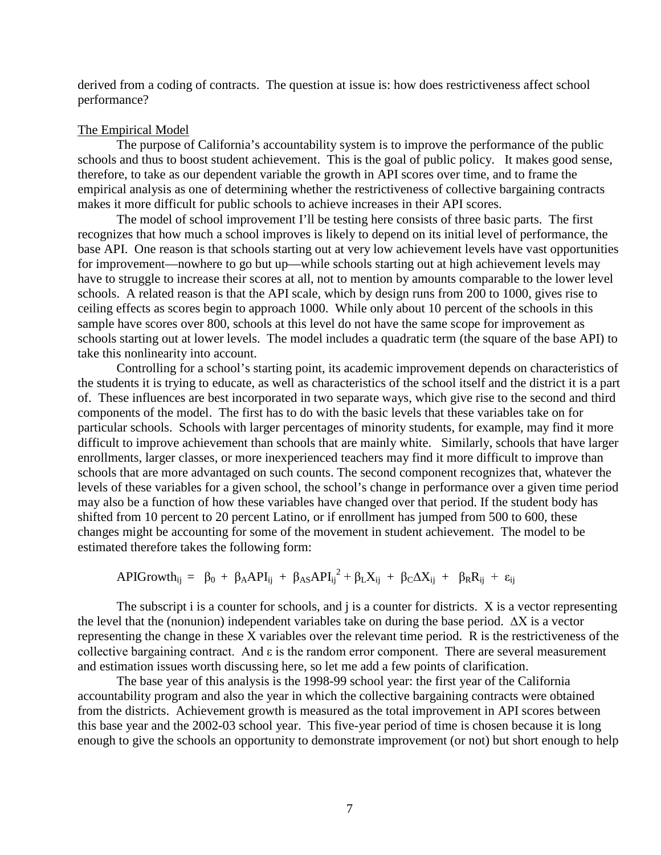derived from a coding of contracts. The question at issue is: how does restrictiveness affect school performance?

#### The Empirical Model

The purpose of California's accountability system is to improve the performance of the public schools and thus to boost student achievement. This is the goal of public policy. It makes good sense, therefore, to take as our dependent variable the growth in API scores over time, and to frame the empirical analysis as one of determining whether the restrictiveness of collective bargaining contracts makes it more difficult for public schools to achieve increases in their API scores.

The model of school improvement I'll be testing here consists of three basic parts. The first recognizes that how much a school improves is likely to depend on its initial level of performance, the base API. One reason is that schools starting out at very low achievement levels have vast opportunities for improvement—nowhere to go but up—while schools starting out at high achievement levels may have to struggle to increase their scores at all, not to mention by amounts comparable to the lower level schools. A related reason is that the API scale, which by design runs from 200 to 1000, gives rise to ceiling effects as scores begin to approach 1000. While only about 10 percent of the schools in this sample have scores over 800, schools at this level do not have the same scope for improvement as schools starting out at lower levels. The model includes a quadratic term (the square of the base API) to take this nonlinearity into account.

Controlling for a school's starting point, its academic improvement depends on characteristics of the students it is trying to educate, as well as characteristics of the school itself and the district it is a part of. These influences are best incorporated in two separate ways, which give rise to the second and third components of the model. The first has to do with the basic levels that these variables take on for particular schools. Schools with larger percentages of minority students, for example, may find it more difficult to improve achievement than schools that are mainly white. Similarly, schools that have larger enrollments, larger classes, or more inexperienced teachers may find it more difficult to improve than schools that are more advantaged on such counts. The second component recognizes that, whatever the levels of these variables for a given school, the school's change in performance over a given time period may also be a function of how these variables have changed over that period. If the student body has shifted from 10 percent to 20 percent Latino, or if enrollment has jumped from 500 to 600, these changes might be accounting for some of the movement in student achievement. The model to be estimated therefore takes the following form:

$$
APIGrowth_{ij} = \beta_0 + \beta_A API_{ij} + \beta_{AS} API_{ij}^2 + \beta_L X_{ij} + \beta_C \Delta X_{ij} + \beta_R R_{ij} + \epsilon_{ij}
$$

The subscript i is a counter for schools, and j is a counter for districts. X is a vector representing the level that the (nonunion) independent variables take on during the base period. ∆X is a vector representing the change in these X variables over the relevant time period. R is the restrictiveness of the collective bargaining contract. And ε is the random error component. There are several measurement and estimation issues worth discussing here, so let me add a few points of clarification.

The base year of this analysis is the 1998-99 school year: the first year of the California accountability program and also the year in which the collective bargaining contracts were obtained from the districts. Achievement growth is measured as the total improvement in API scores between this base year and the 2002-03 school year. This five-year period of time is chosen because it is long enough to give the schools an opportunity to demonstrate improvement (or not) but short enough to help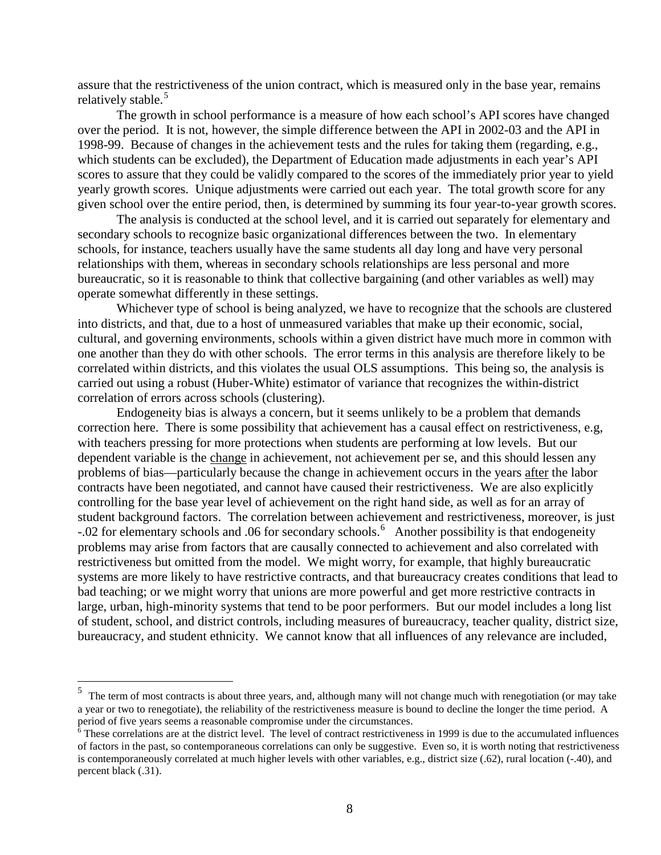assure that the restrictiveness of the union contract, which is measured only in the base year, remains relatively stable.<sup>[5](#page-8-0)</sup>

The growth in school performance is a measure of how each school's API scores have changed over the period. It is not, however, the simple difference between the API in 2002-03 and the API in 1998-99. Because of changes in the achievement tests and the rules for taking them (regarding, e.g., which students can be excluded), the Department of Education made adjustments in each year's API scores to assure that they could be validly compared to the scores of the immediately prior year to yield yearly growth scores. Unique adjustments were carried out each year. The total growth score for any given school over the entire period, then, is determined by summing its four year-to-year growth scores.

The analysis is conducted at the school level, and it is carried out separately for elementary and secondary schools to recognize basic organizational differences between the two. In elementary schools, for instance, teachers usually have the same students all day long and have very personal relationships with them, whereas in secondary schools relationships are less personal and more bureaucratic, so it is reasonable to think that collective bargaining (and other variables as well) may operate somewhat differently in these settings.

Whichever type of school is being analyzed, we have to recognize that the schools are clustered into districts, and that, due to a host of unmeasured variables that make up their economic, social, cultural, and governing environments, schools within a given district have much more in common with one another than they do with other schools. The error terms in this analysis are therefore likely to be correlated within districts, and this violates the usual OLS assumptions. This being so, the analysis is carried out using a robust (Huber-White) estimator of variance that recognizes the within-district correlation of errors across schools (clustering).

Endogeneity bias is always a concern, but it seems unlikely to be a problem that demands correction here. There is some possibility that achievement has a causal effect on restrictiveness, e.g, with teachers pressing for more protections when students are performing at low levels. But our dependent variable is the change in achievement, not achievement per se, and this should lessen any problems of bias—particularly because the change in achievement occurs in the years after the labor contracts have been negotiated, and cannot have caused their restrictiveness. We are also explicitly controlling for the base year level of achievement on the right hand side, as well as for an array of student background factors. The correlation between achievement and restrictiveness, moreover, is just -.02 for elementary schools and .06 for secondary schools. [6](#page-8-1) Another possibility is that endogeneity problems may arise from factors that are causally connected to achievement and also correlated with restrictiveness but omitted from the model. We might worry, for example, that highly bureaucratic systems are more likely to have restrictive contracts, and that bureaucracy creates conditions that lead to bad teaching; or we might worry that unions are more powerful and get more restrictive contracts in large, urban, high-minority systems that tend to be poor performers. But our model includes a long list of student, school, and district controls, including measures of bureaucracy, teacher quality, district size, bureaucracy, and student ethnicity. We cannot know that all influences of any relevance are included,

<span id="page-8-0"></span><sup>&</sup>lt;sup>5</sup> The term of most contracts is about three years, and, although many will not change much with renegotiation (or may take a year or two to renegotiate), the reliability of the restrictiveness measure is bound to decline the longer the time period. A period of five years seems a reasonable compromise under the circumstances.

<span id="page-8-1"></span> $6$  These correlations are at the district level. The level of contract restrictiveness in 1999 is due to the accumulated influences of factors in the past, so contemporaneous correlations can only be suggestive. Even so, it is worth noting that restrictiveness is contemporaneously correlated at much higher levels with other variables, e.g., district size (.62), rural location (-.40), and percent black (.31).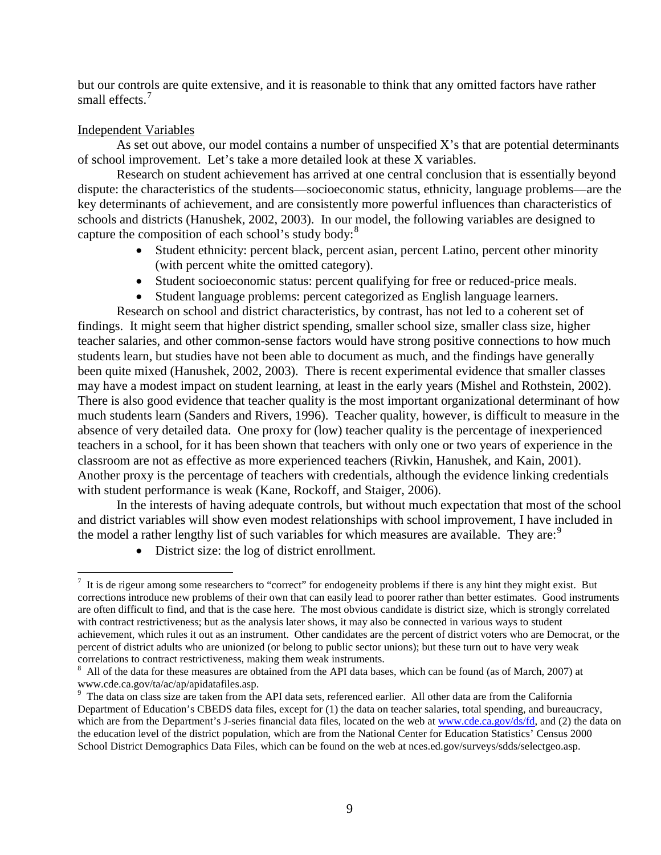but our controls are quite extensive, and it is reasonable to think that any omitted factors have rather small effects.<sup>[7](#page-9-0)</sup>

## Independent Variables

As set out above, our model contains a number of unspecified X's that are potential determinants of school improvement. Let's take a more detailed look at these X variables.

Research on student achievement has arrived at one central conclusion that is essentially beyond dispute: the characteristics of the students—socioeconomic status, ethnicity, language problems—are the key determinants of achievement, and are consistently more powerful influences than characteristics of schools and districts (Hanushek, 2002, 2003). In our model, the following variables are designed to capture the composition of each school's study body: $8<sup>8</sup>$  $8<sup>8</sup>$ 

- Student ethnicity: percent black, percent asian, percent Latino, percent other minority (with percent white the omitted category).
- Student socioeconomic status: percent qualifying for free or reduced-price meals.
- Student language problems: percent categorized as English language learners.

Research on school and district characteristics, by contrast, has not led to a coherent set of findings. It might seem that higher district spending, smaller school size, smaller class size, higher teacher salaries, and other common-sense factors would have strong positive connections to how much students learn, but studies have not been able to document as much, and the findings have generally been quite mixed (Hanushek, 2002, 2003). There is recent experimental evidence that smaller classes may have a modest impact on student learning, at least in the early years (Mishel and Rothstein, 2002). There is also good evidence that teacher quality is the most important organizational determinant of how much students learn (Sanders and Rivers, 1996). Teacher quality, however, is difficult to measure in the absence of very detailed data. One proxy for (low) teacher quality is the percentage of inexperienced teachers in a school, for it has been shown that teachers with only one or two years of experience in the classroom are not as effective as more experienced teachers (Rivkin, Hanushek, and Kain, 2001). Another proxy is the percentage of teachers with credentials, although the evidence linking credentials with student performance is weak (Kane, Rockoff, and Staiger, 2006).

In the interests of having adequate controls, but without much expectation that most of the school and district variables will show even modest relationships with school improvement, I have included in the model a rather lengthy list of such variables for which measures are available. They are:  $9^{\circ}$  $9^{\circ}$ 

• District size: the log of district enrollment.

<span id="page-9-0"></span><sup>-&</sup>lt;br>7  $\frac{7}{1}$  It is de rigeur among some researchers to "correct" for endogeneity problems if there is any hint they might exist. But corrections introduce new problems of their own that can easily lead to poorer rather than better estimates. Good instruments are often difficult to find, and that is the case here. The most obvious candidate is district size, which is strongly correlated with contract restrictiveness; but as the analysis later shows, it may also be connected in various ways to student achievement, which rules it out as an instrument. Other candidates are the percent of district voters who are Democrat, or the percent of district adults who are unionized (or belong to public sector unions); but these turn out to have very weak correlations to contract restrictiveness, making them weak instruments.

<span id="page-9-1"></span> $8$  All of the data for these measures are obtained from the API data bases, which can be found (as of March, 2007) at www.cde.ca.gov/ta/ac/ap/apidatafiles.asp. <sup>9</sup>

<span id="page-9-2"></span><sup>&</sup>lt;sup>9</sup> The data on class size are taken from the API data sets, referenced earlier. All other data are from the California Department of Education's CBEDS data files, except for (1) the data on teacher salaries, total spending, and bureaucracy, which are from the Department's J-series financial data files, located on the web at [www.cde.ca.gov/ds/fd,](http://www.cde.ca.gov/ds/fd) and (2) the data on the education level of the district population, which are from the National Center for Education Statistics' Census 2000 School District Demographics Data Files, which can be found on the web at nces.ed.gov/surveys/sdds/selectgeo.asp.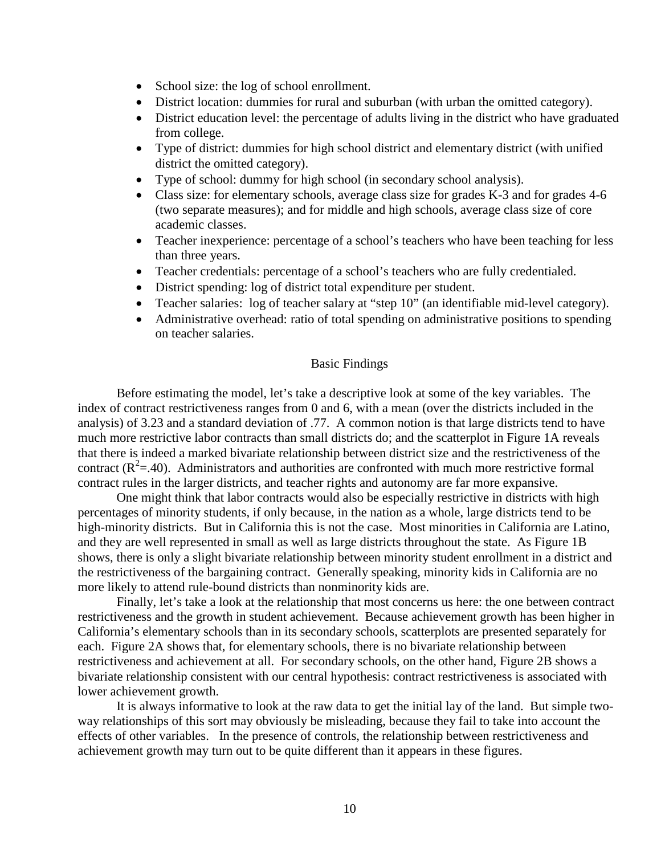- School size: the log of school enrollment.
- District location: dummies for rural and suburban (with urban the omitted category).
- District education level: the percentage of adults living in the district who have graduated from college.
- Type of district: dummies for high school district and elementary district (with unified district the omitted category).
- Type of school: dummy for high school (in secondary school analysis).
- Class size: for elementary schools, average class size for grades K-3 and for grades 4-6 (two separate measures); and for middle and high schools, average class size of core academic classes.
- Teacher inexperience: percentage of a school's teachers who have been teaching for less than three years.
- Teacher credentials: percentage of a school's teachers who are fully credentialed.
- District spending: log of district total expenditure per student.
- Teacher salaries: log of teacher salary at "step 10" (an identifiable mid-level category).
- Administrative overhead: ratio of total spending on administrative positions to spending on teacher salaries.

### Basic Findings

Before estimating the model, let's take a descriptive look at some of the key variables. The index of contract restrictiveness ranges from 0 and 6, with a mean (over the districts included in the analysis) of 3.23 and a standard deviation of .77. A common notion is that large districts tend to have much more restrictive labor contracts than small districts do; and the scatterplot in Figure 1A reveals that there is indeed a marked bivariate relationship between district size and the restrictiveness of the contract  $(R^2 = .40)$ . Administrators and authorities are confronted with much more restrictive formal contract rules in the larger districts, and teacher rights and autonomy are far more expansive.

One might think that labor contracts would also be especially restrictive in districts with high percentages of minority students, if only because, in the nation as a whole, large districts tend to be high-minority districts. But in California this is not the case. Most minorities in California are Latino, and they are well represented in small as well as large districts throughout the state. As Figure 1B shows, there is only a slight bivariate relationship between minority student enrollment in a district and the restrictiveness of the bargaining contract. Generally speaking, minority kids in California are no more likely to attend rule-bound districts than nonminority kids are.

Finally, let's take a look at the relationship that most concerns us here: the one between contract restrictiveness and the growth in student achievement. Because achievement growth has been higher in California's elementary schools than in its secondary schools, scatterplots are presented separately for each. Figure 2A shows that, for elementary schools, there is no bivariate relationship between restrictiveness and achievement at all. For secondary schools, on the other hand, Figure 2B shows a bivariate relationship consistent with our central hypothesis: contract restrictiveness is associated with lower achievement growth.

It is always informative to look at the raw data to get the initial lay of the land. But simple twoway relationships of this sort may obviously be misleading, because they fail to take into account the effects of other variables. In the presence of controls, the relationship between restrictiveness and achievement growth may turn out to be quite different than it appears in these figures.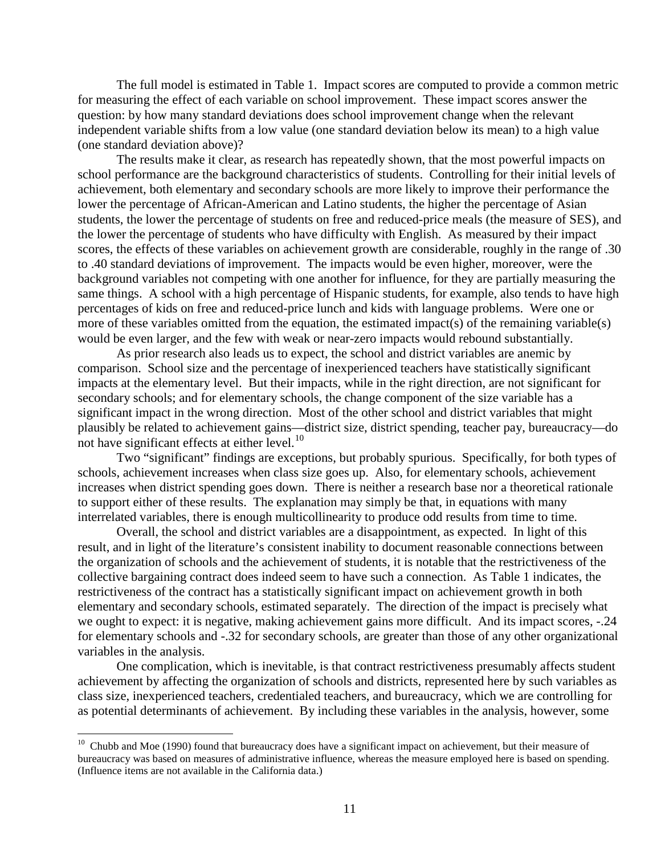The full model is estimated in Table 1. Impact scores are computed to provide a common metric for measuring the effect of each variable on school improvement. These impact scores answer the question: by how many standard deviations does school improvement change when the relevant independent variable shifts from a low value (one standard deviation below its mean) to a high value (one standard deviation above)?

The results make it clear, as research has repeatedly shown, that the most powerful impacts on school performance are the background characteristics of students. Controlling for their initial levels of achievement, both elementary and secondary schools are more likely to improve their performance the lower the percentage of African-American and Latino students, the higher the percentage of Asian students, the lower the percentage of students on free and reduced-price meals (the measure of SES), and the lower the percentage of students who have difficulty with English. As measured by their impact scores, the effects of these variables on achievement growth are considerable, roughly in the range of .30 to .40 standard deviations of improvement. The impacts would be even higher, moreover, were the background variables not competing with one another for influence, for they are partially measuring the same things. A school with a high percentage of Hispanic students, for example, also tends to have high percentages of kids on free and reduced-price lunch and kids with language problems. Were one or more of these variables omitted from the equation, the estimated impact(s) of the remaining variable(s) would be even larger, and the few with weak or near-zero impacts would rebound substantially.

 As prior research also leads us to expect, the school and district variables are anemic by comparison. School size and the percentage of inexperienced teachers have statistically significant impacts at the elementary level. But their impacts, while in the right direction, are not significant for secondary schools; and for elementary schools, the change component of the size variable has a significant impact in the wrong direction. Most of the other school and district variables that might plausibly be related to achievement gains—district size, district spending, teacher pay, bureaucracy—do not have significant effects at either level. $10$ 

Two "significant" findings are exceptions, but probably spurious. Specifically, for both types of schools, achievement increases when class size goes up. Also, for elementary schools, achievement increases when district spending goes down. There is neither a research base nor a theoretical rationale to support either of these results. The explanation may simply be that, in equations with many interrelated variables, there is enough multicollinearity to produce odd results from time to time.

Overall, the school and district variables are a disappointment, as expected. In light of this result, and in light of the literature's consistent inability to document reasonable connections between the organization of schools and the achievement of students, it is notable that the restrictiveness of the collective bargaining contract does indeed seem to have such a connection. As Table 1 indicates, the restrictiveness of the contract has a statistically significant impact on achievement growth in both elementary and secondary schools, estimated separately. The direction of the impact is precisely what we ought to expect: it is negative, making achievement gains more difficult. And its impact scores, -.24 for elementary schools and -.32 for secondary schools, are greater than those of any other organizational variables in the analysis.

One complication, which is inevitable, is that contract restrictiveness presumably affects student achievement by affecting the organization of schools and districts, represented here by such variables as class size, inexperienced teachers, credentialed teachers, and bureaucracy, which we are controlling for as potential determinants of achievement. By including these variables in the analysis, however, some

<span id="page-11-0"></span> $10$  Chubb and Moe (1990) found that bureaucracy does have a significant impact on achievement, but their measure of bureaucracy was based on measures of administrative influence, whereas the measure employed here is based on spending. (Influence items are not available in the California data.)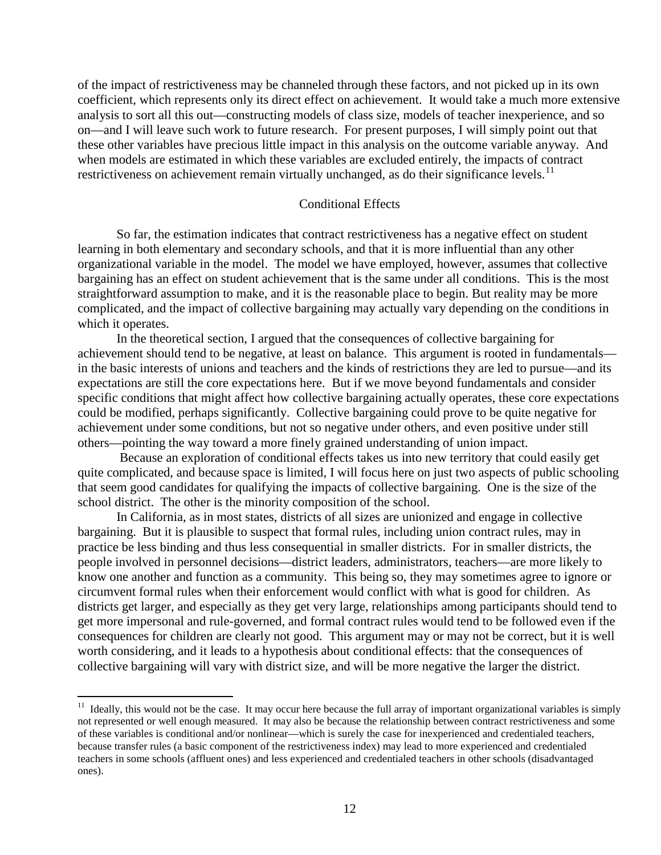of the impact of restrictiveness may be channeled through these factors, and not picked up in its own coefficient, which represents only its direct effect on achievement. It would take a much more extensive analysis to sort all this out—constructing models of class size, models of teacher inexperience, and so on—and I will leave such work to future research. For present purposes, I will simply point out that these other variables have precious little impact in this analysis on the outcome variable anyway. And when models are estimated in which these variables are excluded entirely, the impacts of contract restrictiveness on achievement remain virtually unchanged, as do their significance levels.<sup>11</sup>

## Conditional Effects

So far, the estimation indicates that contract restrictiveness has a negative effect on student learning in both elementary and secondary schools, and that it is more influential than any other organizational variable in the model. The model we have employed, however, assumes that collective bargaining has an effect on student achievement that is the same under all conditions. This is the most straightforward assumption to make, and it is the reasonable place to begin. But reality may be more complicated, and the impact of collective bargaining may actually vary depending on the conditions in which it operates.

In the theoretical section, I argued that the consequences of collective bargaining for achievement should tend to be negative, at least on balance. This argument is rooted in fundamentals in the basic interests of unions and teachers and the kinds of restrictions they are led to pursue—and its expectations are still the core expectations here. But if we move beyond fundamentals and consider specific conditions that might affect how collective bargaining actually operates, these core expectations could be modified, perhaps significantly. Collective bargaining could prove to be quite negative for achievement under some conditions, but not so negative under others, and even positive under still others—pointing the way toward a more finely grained understanding of union impact.

Because an exploration of conditional effects takes us into new territory that could easily get quite complicated, and because space is limited, I will focus here on just two aspects of public schooling that seem good candidates for qualifying the impacts of collective bargaining. One is the size of the school district. The other is the minority composition of the school.

In California, as in most states, districts of all sizes are unionized and engage in collective bargaining. But it is plausible to suspect that formal rules, including union contract rules, may in practice be less binding and thus less consequential in smaller districts. For in smaller districts, the people involved in personnel decisions—district leaders, administrators, teachers—are more likely to know one another and function as a community. This being so, they may sometimes agree to ignore or circumvent formal rules when their enforcement would conflict with what is good for children. As districts get larger, and especially as they get very large, relationships among participants should tend to get more impersonal and rule-governed, and formal contract rules would tend to be followed even if the consequences for children are clearly not good. This argument may or may not be correct, but it is well worth considering, and it leads to a hypothesis about conditional effects: that the consequences of collective bargaining will vary with district size, and will be more negative the larger the district.

<span id="page-12-0"></span> $11$  Ideally, this would not be the case. It may occur here because the full array of important organizational variables is simply not represented or well enough measured. It may also be because the relationship between contract restrictiveness and some of these variables is conditional and/or nonlinear—which is surely the case for inexperienced and credentialed teachers, because transfer rules (a basic component of the restrictiveness index) may lead to more experienced and credentialed teachers in some schools (affluent ones) and less experienced and credentialed teachers in other schools (disadvantaged ones).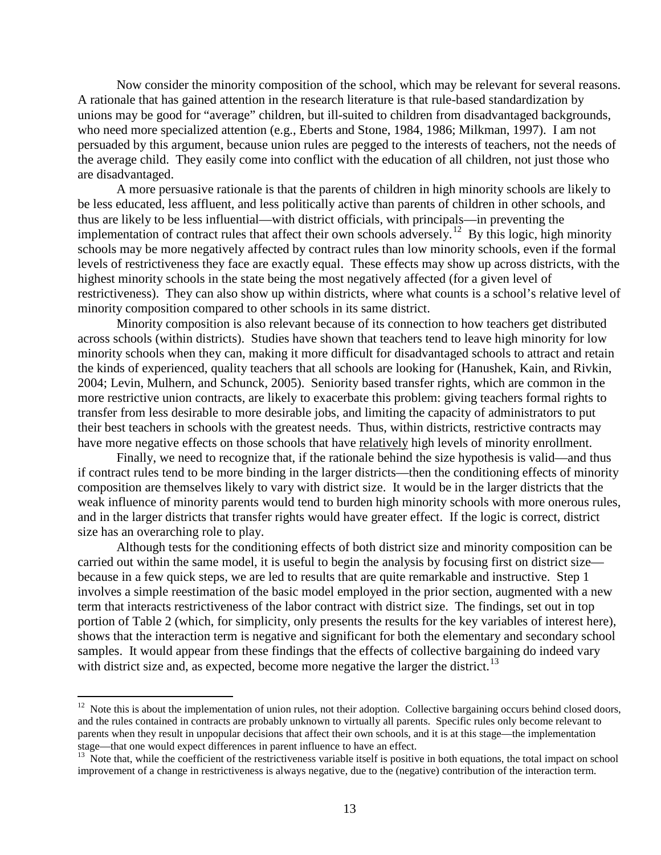Now consider the minority composition of the school, which may be relevant for several reasons. A rationale that has gained attention in the research literature is that rule-based standardization by unions may be good for "average" children, but ill-suited to children from disadvantaged backgrounds, who need more specialized attention (e.g., Eberts and Stone, 1984, 1986; Milkman, 1997). I am not persuaded by this argument, because union rules are pegged to the interests of teachers, not the needs of the average child. They easily come into conflict with the education of all children, not just those who are disadvantaged.

A more persuasive rationale is that the parents of children in high minority schools are likely to be less educated, less affluent, and less politically active than parents of children in other schools, and thus are likely to be less influential—with district officials, with principals—in preventing the implementation of contract rules that affect their own schools adversely.<sup>[12](#page-13-0)</sup> By this logic, high minority schools may be more negatively affected by contract rules than low minority schools, even if the formal levels of restrictiveness they face are exactly equal. These effects may show up across districts, with the highest minority schools in the state being the most negatively affected (for a given level of restrictiveness). They can also show up within districts, where what counts is a school's relative level of minority composition compared to other schools in its same district.

Minority composition is also relevant because of its connection to how teachers get distributed across schools (within districts). Studies have shown that teachers tend to leave high minority for low minority schools when they can, making it more difficult for disadvantaged schools to attract and retain the kinds of experienced, quality teachers that all schools are looking for (Hanushek, Kain, and Rivkin, 2004; Levin, Mulhern, and Schunck, 2005). Seniority based transfer rights, which are common in the more restrictive union contracts, are likely to exacerbate this problem: giving teachers formal rights to transfer from less desirable to more desirable jobs, and limiting the capacity of administrators to put their best teachers in schools with the greatest needs. Thus, within districts, restrictive contracts may have more negative effects on those schools that have relatively high levels of minority enrollment.

Finally, we need to recognize that, if the rationale behind the size hypothesis is valid—and thus if contract rules tend to be more binding in the larger districts—then the conditioning effects of minority composition are themselves likely to vary with district size. It would be in the larger districts that the weak influence of minority parents would tend to burden high minority schools with more onerous rules, and in the larger districts that transfer rights would have greater effect. If the logic is correct, district size has an overarching role to play.

Although tests for the conditioning effects of both district size and minority composition can be carried out within the same model, it is useful to begin the analysis by focusing first on district size because in a few quick steps, we are led to results that are quite remarkable and instructive. Step 1 involves a simple reestimation of the basic model employed in the prior section, augmented with a new term that interacts restrictiveness of the labor contract with district size. The findings, set out in top portion of Table 2 (which, for simplicity, only presents the results for the key variables of interest here), shows that the interaction term is negative and significant for both the elementary and secondary school samples. It would appear from these findings that the effects of collective bargaining do indeed vary with district size and, as expected, become more negative the larger the district.<sup>[13](#page-13-1)</sup>

<span id="page-13-0"></span><sup>&</sup>lt;sup>12</sup> Note this is about the implementation of union rules, not their adoption. Collective bargaining occurs behind closed doors, and the rules contained in contracts are probably unknown to virtually all parents. Specific rules only become relevant to parents when they result in unpopular decisions that affect their own schools, and it is at this stage—the implementation stage—that one would expect differences in parent influence to have an effect.

<span id="page-13-1"></span> $\frac{13}{13}$  Note that, while the coefficient of the restrictiveness variable itself is positive in both equations, the total impact on school improvement of a change in restrictiveness is always negative, due to the (negative) contribution of the interaction term.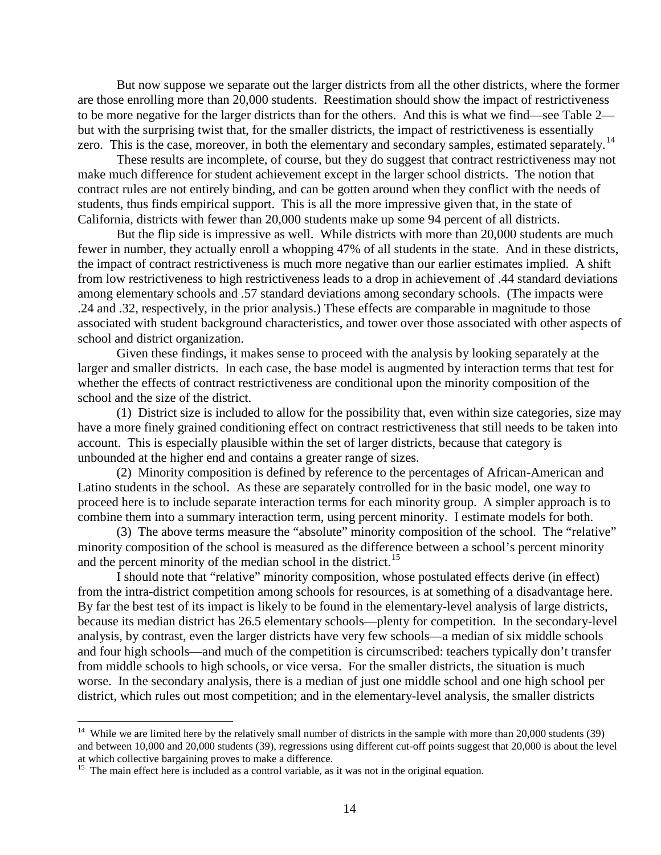But now suppose we separate out the larger districts from all the other districts, where the former are those enrolling more than 20,000 students. Reestimation should show the impact of restrictiveness to be more negative for the larger districts than for the others. And this is what we find—see Table 2 but with the surprising twist that, for the smaller districts, the impact of restrictiveness is essentially zero. This is the case, moreover, in both the elementary and secondary samples, estimated separately.<sup>[14](#page-14-0)</sup>

These results are incomplete, of course, but they do suggest that contract restrictiveness may not make much difference for student achievement except in the larger school districts. The notion that contract rules are not entirely binding, and can be gotten around when they conflict with the needs of students, thus finds empirical support. This is all the more impressive given that, in the state of California, districts with fewer than 20,000 students make up some 94 percent of all districts.

But the flip side is impressive as well. While districts with more than 20,000 students are much fewer in number, they actually enroll a whopping 47% of all students in the state. And in these districts, the impact of contract restrictiveness is much more negative than our earlier estimates implied. A shift from low restrictiveness to high restrictiveness leads to a drop in achievement of .44 standard deviations among elementary schools and .57 standard deviations among secondary schools. (The impacts were .24 and .32, respectively, in the prior analysis.) These effects are comparable in magnitude to those associated with student background characteristics, and tower over those associated with other aspects of school and district organization.

Given these findings, it makes sense to proceed with the analysis by looking separately at the larger and smaller districts. In each case, the base model is augmented by interaction terms that test for whether the effects of contract restrictiveness are conditional upon the minority composition of the school and the size of the district.

(1) District size is included to allow for the possibility that, even within size categories, size may have a more finely grained conditioning effect on contract restrictiveness that still needs to be taken into account. This is especially plausible within the set of larger districts, because that category is unbounded at the higher end and contains a greater range of sizes.

(2) Minority composition is defined by reference to the percentages of African-American and Latino students in the school. As these are separately controlled for in the basic model, one way to proceed here is to include separate interaction terms for each minority group. A simpler approach is to combine them into a summary interaction term, using percent minority. I estimate models for both.

(3) The above terms measure the "absolute" minority composition of the school. The "relative" minority composition of the school is measured as the difference between a school's percent minority and the percent minority of the median school in the district.<sup>[15](#page-14-1)</sup>

I should note that "relative" minority composition, whose postulated effects derive (in effect) from the intra-district competition among schools for resources, is at something of a disadvantage here. By far the best test of its impact is likely to be found in the elementary-level analysis of large districts, because its median district has 26.5 elementary schools—plenty for competition. In the secondary-level analysis, by contrast, even the larger districts have very few schools—a median of six middle schools and four high schools—and much of the competition is circumscribed: teachers typically don't transfer from middle schools to high schools, or vice versa. For the smaller districts, the situation is much worse. In the secondary analysis, there is a median of just one middle school and one high school per district, which rules out most competition; and in the elementary-level analysis, the smaller districts

<span id="page-14-0"></span><sup>&</sup>lt;sup>14</sup> While we are limited here by the relatively small number of districts in the sample with more than 20,000 students (39) and between 10,000 and 20,000 students (39), regressions using different cut-off points suggest that 20,000 is about the level at which collective bargaining proves to make a difference.

<span id="page-14-1"></span><sup>&</sup>lt;sup>15</sup> The main effect here is included as a control variable, as it was not in the original equation.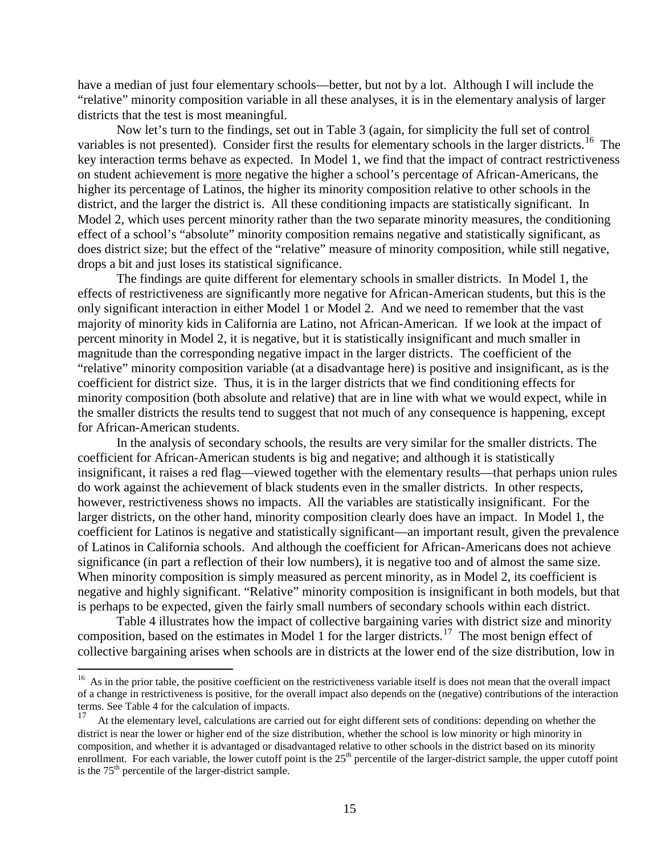have a median of just four elementary schools—better, but not by a lot. Although I will include the "relative" minority composition variable in all these analyses, it is in the elementary analysis of larger districts that the test is most meaningful.

Now let's turn to the findings, set out in Table 3 (again, for simplicity the full set of control variables is not presented). Consider first the results for elementary schools in the larger districts.<sup>[16](#page-15-0)</sup> The key interaction terms behave as expected. In Model 1, we find that the impact of contract restrictiveness on student achievement is more negative the higher a school's percentage of African-Americans, the higher its percentage of Latinos, the higher its minority composition relative to other schools in the district, and the larger the district is. All these conditioning impacts are statistically significant. In Model 2, which uses percent minority rather than the two separate minority measures, the conditioning effect of a school's "absolute" minority composition remains negative and statistically significant, as does district size; but the effect of the "relative" measure of minority composition, while still negative, drops a bit and just loses its statistical significance.

The findings are quite different for elementary schools in smaller districts. In Model 1, the effects of restrictiveness are significantly more negative for African-American students, but this is the only significant interaction in either Model 1 or Model 2. And we need to remember that the vast majority of minority kids in California are Latino, not African-American. If we look at the impact of percent minority in Model 2, it is negative, but it is statistically insignificant and much smaller in magnitude than the corresponding negative impact in the larger districts. The coefficient of the "relative" minority composition variable (at a disadvantage here) is positive and insignificant, as is the coefficient for district size. Thus, it is in the larger districts that we find conditioning effects for minority composition (both absolute and relative) that are in line with what we would expect, while in the smaller districts the results tend to suggest that not much of any consequence is happening, except for African-American students.

In the analysis of secondary schools, the results are very similar for the smaller districts. The coefficient for African-American students is big and negative; and although it is statistically insignificant, it raises a red flag—viewed together with the elementary results—that perhaps union rules do work against the achievement of black students even in the smaller districts. In other respects, however, restrictiveness shows no impacts. All the variables are statistically insignificant. For the larger districts, on the other hand, minority composition clearly does have an impact. In Model 1, the coefficient for Latinos is negative and statistically significant—an important result, given the prevalence of Latinos in California schools. And although the coefficient for African-Americans does not achieve significance (in part a reflection of their low numbers), it is negative too and of almost the same size. When minority composition is simply measured as percent minority, as in Model 2, its coefficient is negative and highly significant. "Relative" minority composition is insignificant in both models, but that is perhaps to be expected, given the fairly small numbers of secondary schools within each district.

Table 4 illustrates how the impact of collective bargaining varies with district size and minority composition, based on the estimates in Model 1 for the larger districts.<sup>[17](#page-15-1)</sup> The most benign effect of collective bargaining arises when schools are in districts at the lower end of the size distribution, low in

<span id="page-15-0"></span> $16$  As in the prior table, the positive coefficient on the restrictiveness variable itself is does not mean that the overall impact of a change in restrictiveness is positive, for the overall impact also depends on the (negative) contributions of the interaction terms. See Table 4 for the calculation of impacts.

<span id="page-15-1"></span><sup>17</sup> At the elementary level, calculations are carried out for eight different sets of conditions: depending on whether the district is near the lower or higher end of the size distribution, whether the school is low minority or high minority in composition, and whether it is advantaged or disadvantaged relative to other schools in the district based on its minority enrollment. For each variable, the lower cutoff point is the 25<sup>th</sup> percentile of the larger-district sample, the upper cutoff point is the  $75<sup>th</sup>$  percentile of the larger-district sample.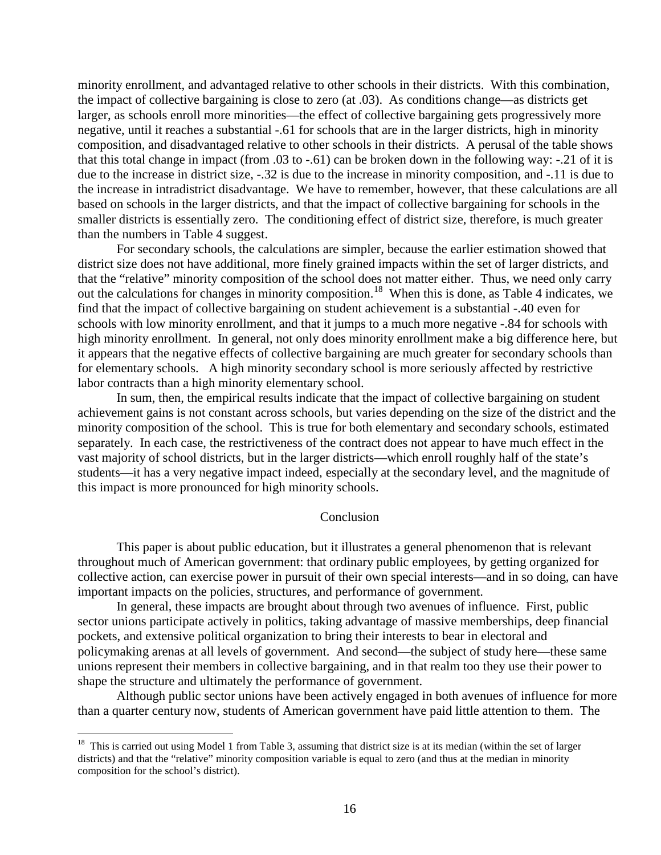minority enrollment, and advantaged relative to other schools in their districts. With this combination, the impact of collective bargaining is close to zero (at .03). As conditions change—as districts get larger, as schools enroll more minorities—the effect of collective bargaining gets progressively more negative, until it reaches a substantial -.61 for schools that are in the larger districts, high in minority composition, and disadvantaged relative to other schools in their districts. A perusal of the table shows that this total change in impact (from .03 to -.61) can be broken down in the following way: -.21 of it is due to the increase in district size, -.32 is due to the increase in minority composition, and -.11 is due to the increase in intradistrict disadvantage. We have to remember, however, that these calculations are all based on schools in the larger districts, and that the impact of collective bargaining for schools in the smaller districts is essentially zero. The conditioning effect of district size, therefore, is much greater than the numbers in Table 4 suggest.

For secondary schools, the calculations are simpler, because the earlier estimation showed that district size does not have additional, more finely grained impacts within the set of larger districts, and that the "relative" minority composition of the school does not matter either. Thus, we need only carry out the calculations for changes in minority composition.<sup>[18](#page-16-0)</sup> When this is done, as Table 4 indicates, we find that the impact of collective bargaining on student achievement is a substantial -.40 even for schools with low minority enrollment, and that it jumps to a much more negative -.84 for schools with high minority enrollment. In general, not only does minority enrollment make a big difference here, but it appears that the negative effects of collective bargaining are much greater for secondary schools than for elementary schools. A high minority secondary school is more seriously affected by restrictive labor contracts than a high minority elementary school.

In sum, then, the empirical results indicate that the impact of collective bargaining on student achievement gains is not constant across schools, but varies depending on the size of the district and the minority composition of the school. This is true for both elementary and secondary schools, estimated separately. In each case, the restrictiveness of the contract does not appear to have much effect in the vast majority of school districts, but in the larger districts—which enroll roughly half of the state's students—it has a very negative impact indeed, especially at the secondary level, and the magnitude of this impact is more pronounced for high minority schools.

#### Conclusion

This paper is about public education, but it illustrates a general phenomenon that is relevant throughout much of American government: that ordinary public employees, by getting organized for collective action, can exercise power in pursuit of their own special interests—and in so doing, can have important impacts on the policies, structures, and performance of government.

In general, these impacts are brought about through two avenues of influence. First, public sector unions participate actively in politics, taking advantage of massive memberships, deep financial pockets, and extensive political organization to bring their interests to bear in electoral and policymaking arenas at all levels of government. And second—the subject of study here—these same unions represent their members in collective bargaining, and in that realm too they use their power to shape the structure and ultimately the performance of government.

Although public sector unions have been actively engaged in both avenues of influence for more than a quarter century now, students of American government have paid little attention to them. The

<span id="page-16-0"></span> $18$  This is carried out using Model 1 from Table 3, assuming that district size is at its median (within the set of larger districts) and that the "relative" minority composition variable is equal to zero (and thus at the median in minority composition for the school's district).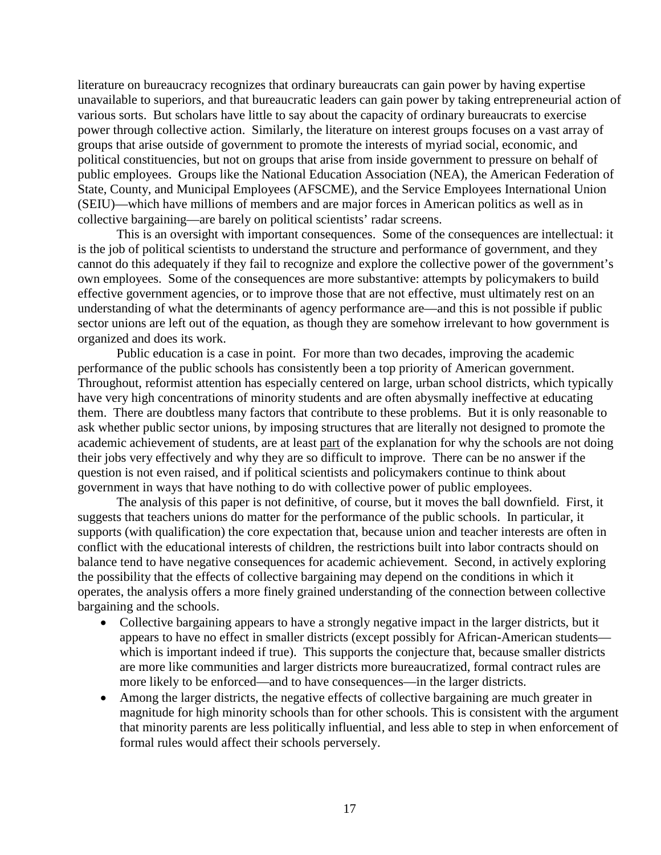literature on bureaucracy recognizes that ordinary bureaucrats can gain power by having expertise unavailable to superiors, and that bureaucratic leaders can gain power by taking entrepreneurial action of various sorts. But scholars have little to say about the capacity of ordinary bureaucrats to exercise power through collective action. Similarly, the literature on interest groups focuses on a vast array of groups that arise outside of government to promote the interests of myriad social, economic, and political constituencies, but not on groups that arise from inside government to pressure on behalf of public employees. Groups like the National Education Association (NEA), the American Federation of State, County, and Municipal Employees (AFSCME), and the Service Employees International Union (SEIU)—which have millions of members and are major forces in American politics as well as in collective bargaining—are barely on political scientists' radar screens.

This is an oversight with important consequences. Some of the consequences are intellectual: it is the job of political scientists to understand the structure and performance of government, and they cannot do this adequately if they fail to recognize and explore the collective power of the government's own employees. Some of the consequences are more substantive: attempts by policymakers to build effective government agencies, or to improve those that are not effective, must ultimately rest on an understanding of what the determinants of agency performance are—and this is not possible if public sector unions are left out of the equation, as though they are somehow irrelevant to how government is organized and does its work.

Public education is a case in point. For more than two decades, improving the academic performance of the public schools has consistently been a top priority of American government. Throughout, reformist attention has especially centered on large, urban school districts, which typically have very high concentrations of minority students and are often abysmally ineffective at educating them. There are doubtless many factors that contribute to these problems. But it is only reasonable to ask whether public sector unions, by imposing structures that are literally not designed to promote the academic achievement of students, are at least part of the explanation for why the schools are not doing their jobs very effectively and why they are so difficult to improve. There can be no answer if the question is not even raised, and if political scientists and policymakers continue to think about government in ways that have nothing to do with collective power of public employees.

The analysis of this paper is not definitive, of course, but it moves the ball downfield. First, it suggests that teachers unions do matter for the performance of the public schools. In particular, it supports (with qualification) the core expectation that, because union and teacher interests are often in conflict with the educational interests of children, the restrictions built into labor contracts should on balance tend to have negative consequences for academic achievement. Second, in actively exploring the possibility that the effects of collective bargaining may depend on the conditions in which it operates, the analysis offers a more finely grained understanding of the connection between collective bargaining and the schools.

- Collective bargaining appears to have a strongly negative impact in the larger districts, but it appears to have no effect in smaller districts (except possibly for African-American students which is important indeed if true). This supports the conjecture that, because smaller districts are more like communities and larger districts more bureaucratized, formal contract rules are more likely to be enforced—and to have consequences—in the larger districts.
- Among the larger districts, the negative effects of collective bargaining are much greater in magnitude for high minority schools than for other schools. This is consistent with the argument that minority parents are less politically influential, and less able to step in when enforcement of formal rules would affect their schools perversely.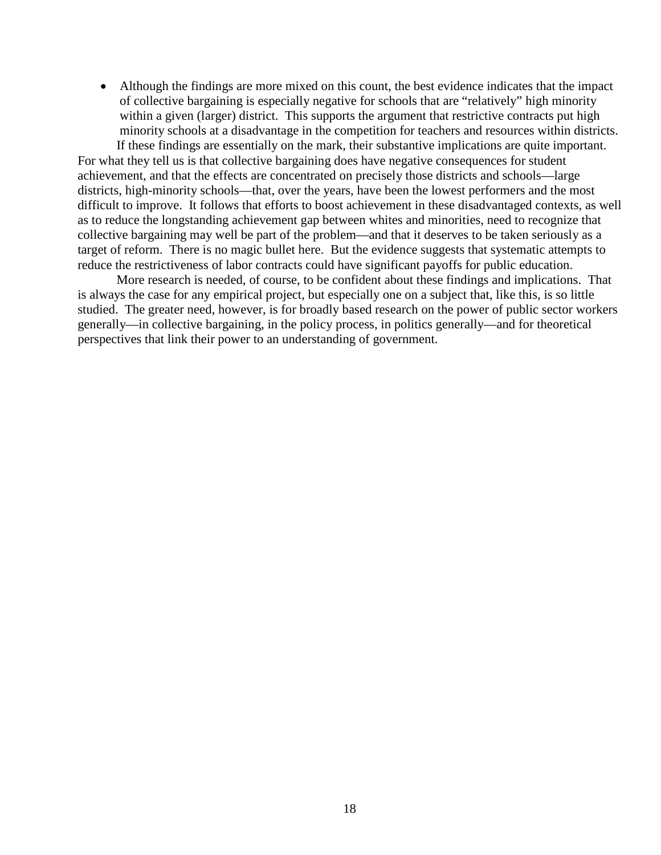• Although the findings are more mixed on this count, the best evidence indicates that the impact of collective bargaining is especially negative for schools that are "relatively" high minority within a given (larger) district. This supports the argument that restrictive contracts put high minority schools at a disadvantage in the competition for teachers and resources within districts. If these findings are essentially on the mark, their substantive implications are quite important.

For what they tell us is that collective bargaining does have negative consequences for student achievement, and that the effects are concentrated on precisely those districts and schools—large districts, high-minority schools—that, over the years, have been the lowest performers and the most difficult to improve. It follows that efforts to boost achievement in these disadvantaged contexts, as well as to reduce the longstanding achievement gap between whites and minorities, need to recognize that collective bargaining may well be part of the problem—and that it deserves to be taken seriously as a target of reform. There is no magic bullet here. But the evidence suggests that systematic attempts to reduce the restrictiveness of labor contracts could have significant payoffs for public education.

More research is needed, of course, to be confident about these findings and implications. That is always the case for any empirical project, but especially one on a subject that, like this, is so little studied. The greater need, however, is for broadly based research on the power of public sector workers generally—in collective bargaining, in the policy process, in politics generally—and for theoretical perspectives that link their power to an understanding of government.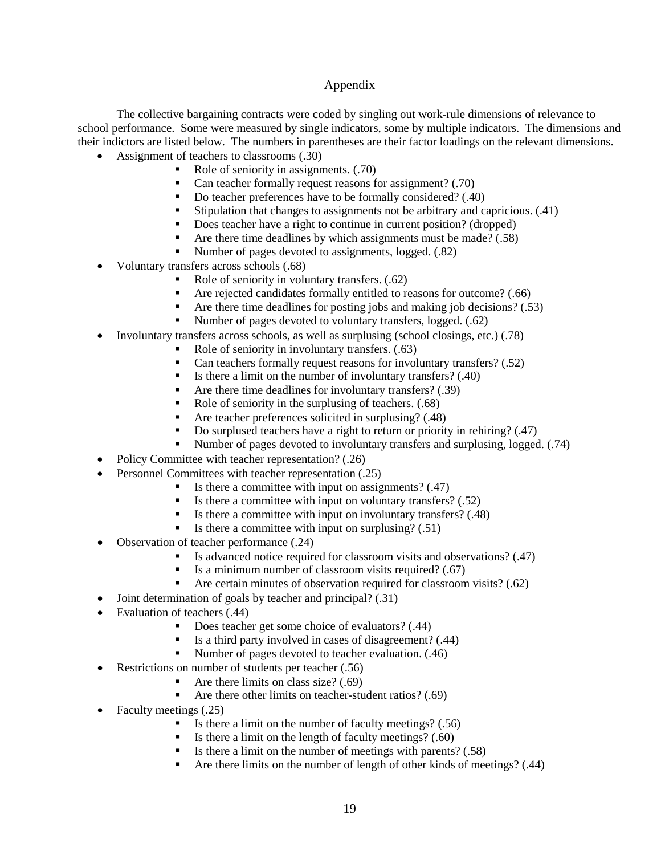## Appendix

The collective bargaining contracts were coded by singling out work-rule dimensions of relevance to school performance. Some were measured by single indicators, some by multiple indicators. The dimensions and their indictors are listed below. The numbers in parentheses are their factor loadings on the relevant dimensions.

- Assignment of teachers to classrooms (.30)
	- Role of seniority in assignments. (.70)
	- Can teacher formally request reasons for assignment? (.70)
	- Do teacher preferences have to be formally considered? (.40)
	- Stipulation that changes to assignments not be arbitrary and capricious.  $(.41)$
	- Does teacher have a right to continue in current position? (dropped)
	- Are there time deadlines by which assignments must be made?  $(.58)$
	- Number of pages devoted to assignments, logged. (.82)
- Voluntary transfers across schools (.68)
	- Role of seniority in voluntary transfers. (.62)
	- Are rejected candidates formally entitled to reasons for outcome? (.66)
	- Are there time deadlines for posting jobs and making job decisions?  $(.53)$
	- Number of pages devoted to voluntary transfers, logged. (.62)
	- Involuntary transfers across schools, as well as surplusing (school closings, etc.) (.78)
		- Role of seniority in involuntary transfers. (.63)
			- Can teachers formally request reasons for involuntary transfers? (.52)
			- Is there a limit on the number of involuntary transfers?  $(.40)$
			- Are there time deadlines for involuntary transfers?  $(.39)$
			- Role of seniority in the surplusing of teachers.  $(.68)$
			- Are teacher preferences solicited in surplusing? (.48)
			- Do surplused teachers have a right to return or priority in rehiring? (.47)
		- Number of pages devoted to involuntary transfers and surplusing, logged. (.74)
- Policy Committee with teacher representation? (.26)
- Personnel Committees with teacher representation (.25)
	- Is there a committee with input on assignments? (.47)
	- Is there a committee with input on voluntary transfers?  $(.52)$
	- Is there a committee with input on involuntary transfers?  $(.48)$
	- Is there a committee with input on surplusing? (.51)
- Observation of teacher performance (.24)
	- Is advanced notice required for classroom visits and observations?  $(0.47)$
	- Is a minimum number of classroom visits required?  $(.67)$
	- Are certain minutes of observation required for classroom visits? (.62)
- Joint determination of goals by teacher and principal? (.31)
- Evaluation of teachers (.44)
	- Does teacher get some choice of evaluators? (.44)
	- Is a third party involved in cases of disagreement?  $(.44)$
	- Number of pages devoted to teacher evaluation. (.46)
- Restrictions on number of students per teacher (.56)
	- Are there limits on class size? (.69)
	- Are there other limits on teacher-student ratios? (.69)
- Faculty meetings (.25)
	- Is there a limit on the number of faculty meetings?  $(.56)$
	- Is there a limit on the length of faculty meetings? (.60)
	- Is there a limit on the number of meetings with parents?  $(.58)$
	- Are there limits on the number of length of other kinds of meetings? (.44)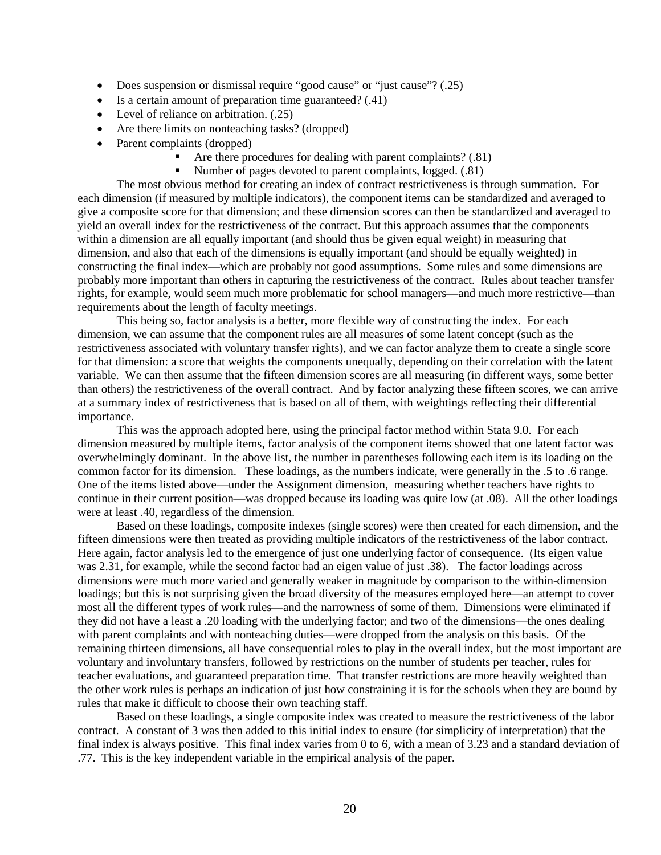- Does suspension or dismissal require "good cause" or "just cause"? (.25)
- Is a certain amount of preparation time guaranteed? (.41)
- Level of reliance on arbitration. (.25)
- Are there limits on nonteaching tasks? (dropped)
- Parent complaints (dropped)
	- Are there procedures for dealing with parent complaints? (.81)
	- Number of pages devoted to parent complaints, logged. (.81)

The most obvious method for creating an index of contract restrictiveness is through summation. For each dimension (if measured by multiple indicators), the component items can be standardized and averaged to give a composite score for that dimension; and these dimension scores can then be standardized and averaged to yield an overall index for the restrictiveness of the contract. But this approach assumes that the components within a dimension are all equally important (and should thus be given equal weight) in measuring that dimension, and also that each of the dimensions is equally important (and should be equally weighted) in constructing the final index—which are probably not good assumptions. Some rules and some dimensions are probably more important than others in capturing the restrictiveness of the contract. Rules about teacher transfer rights, for example, would seem much more problematic for school managers—and much more restrictive—than requirements about the length of faculty meetings.

This being so, factor analysis is a better, more flexible way of constructing the index. For each dimension, we can assume that the component rules are all measures of some latent concept (such as the restrictiveness associated with voluntary transfer rights), and we can factor analyze them to create a single score for that dimension: a score that weights the components unequally, depending on their correlation with the latent variable. We can then assume that the fifteen dimension scores are all measuring (in different ways, some better than others) the restrictiveness of the overall contract. And by factor analyzing these fifteen scores, we can arrive at a summary index of restrictiveness that is based on all of them, with weightings reflecting their differential importance.

This was the approach adopted here, using the principal factor method within Stata 9.0. For each dimension measured by multiple items, factor analysis of the component items showed that one latent factor was overwhelmingly dominant. In the above list, the number in parentheses following each item is its loading on the common factor for its dimension. These loadings, as the numbers indicate, were generally in the .5 to .6 range. One of the items listed above—under the Assignment dimension, measuring whether teachers have rights to continue in their current position—was dropped because its loading was quite low (at .08). All the other loadings were at least .40, regardless of the dimension.

Based on these loadings, composite indexes (single scores) were then created for each dimension, and the fifteen dimensions were then treated as providing multiple indicators of the restrictiveness of the labor contract. Here again, factor analysis led to the emergence of just one underlying factor of consequence. (Its eigen value was 2.31, for example, while the second factor had an eigen value of just .38). The factor loadings across dimensions were much more varied and generally weaker in magnitude by comparison to the within-dimension loadings; but this is not surprising given the broad diversity of the measures employed here—an attempt to cover most all the different types of work rules—and the narrowness of some of them. Dimensions were eliminated if they did not have a least a .20 loading with the underlying factor; and two of the dimensions—the ones dealing with parent complaints and with nonteaching duties—were dropped from the analysis on this basis. Of the remaining thirteen dimensions, all have consequential roles to play in the overall index, but the most important are voluntary and involuntary transfers, followed by restrictions on the number of students per teacher, rules for teacher evaluations, and guaranteed preparation time. That transfer restrictions are more heavily weighted than the other work rules is perhaps an indication of just how constraining it is for the schools when they are bound by rules that make it difficult to choose their own teaching staff.

Based on these loadings, a single composite index was created to measure the restrictiveness of the labor contract. A constant of 3 was then added to this initial index to ensure (for simplicity of interpretation) that the final index is always positive. This final index varies from 0 to 6, with a mean of 3.23 and a standard deviation of .77. This is the key independent variable in the empirical analysis of the paper.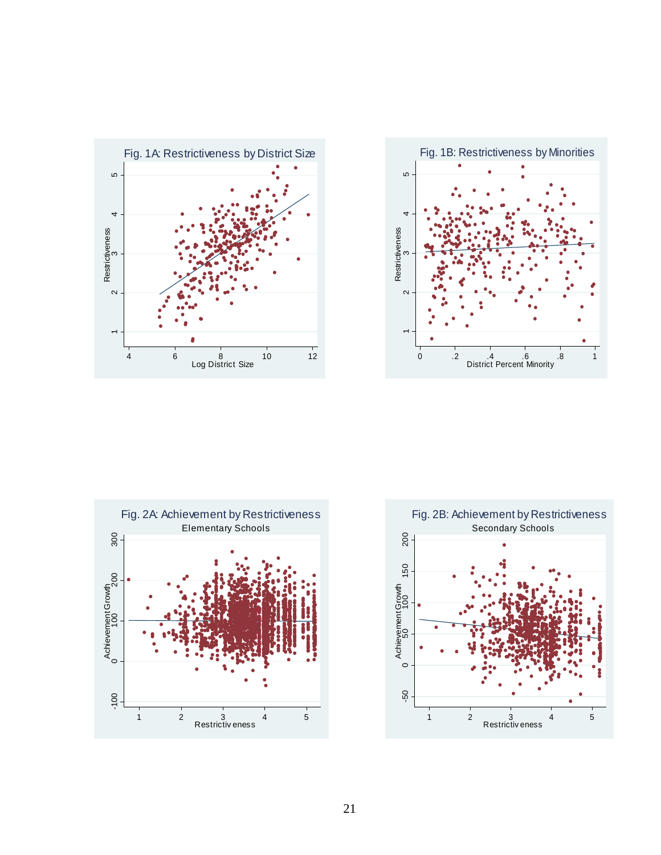





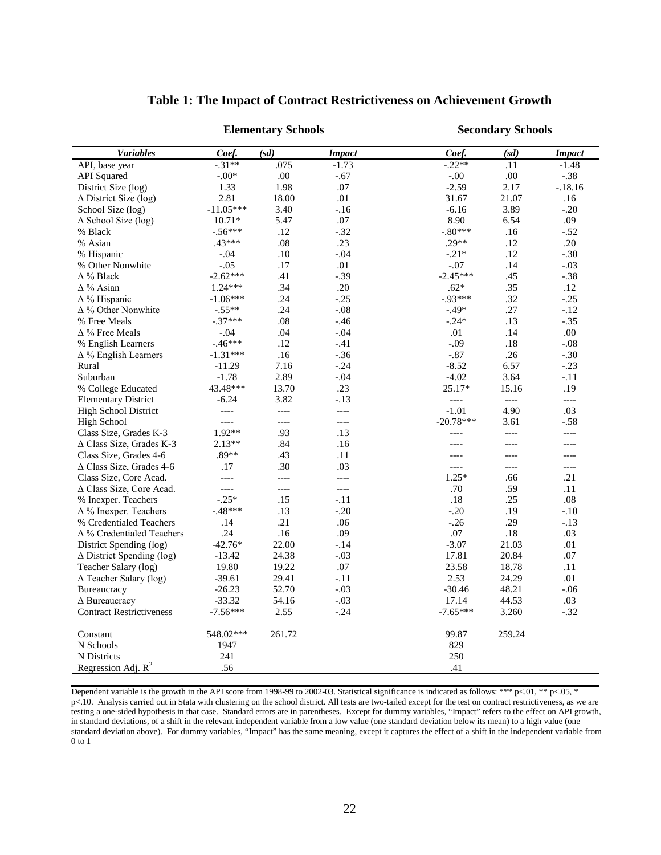|                                    | <b>Elementary Schools</b> |                          |               | <b>Secondary Schools</b> |        |               |  |
|------------------------------------|---------------------------|--------------------------|---------------|--------------------------|--------|---------------|--|
| <b>Variables</b>                   | Coef.                     | (sd)                     | <b>Impact</b> | Coef.                    | (sd)   | <b>Impact</b> |  |
| API, base year                     | $-.31**$                  | .075                     | $-1.73$       | $-0.22**$                | .11    | $-1.48$       |  |
| <b>API</b> Squared                 | $-0.00*$                  | .00                      | $-.67$        | $-0.00$                  | .00    | $-.38$        |  |
| District Size (log)                | 1.33                      | 1.98                     | .07           | $-2.59$                  | 2.17   | $-.18.16$     |  |
| $\Delta$ District Size (log)       | 2.81                      | 18.00                    | .01           | 31.67                    | 21.07  | .16           |  |
| School Size (log)                  | $-11.05***$               | 3.40                     | $-.16$        | $-6.16$                  | 3.89   | $-.20$        |  |
| $\Delta$ School Size (log)         | $10.71*$                  | 5.47                     | .07           | 8.90                     | 6.54   | .09           |  |
| % Black                            | $-.56***$                 | .12                      | $-.32$        | $-.80***$                | .16    | $-.52$        |  |
| % Asian                            | $.43***$                  | .08                      | .23           | $.29**$                  | .12    | .20           |  |
| % Hispanic                         | $-.04$                    | .10                      | $-.04$        | $-.21*$                  | .12    | $-.30$        |  |
| % Other Nonwhite                   | $-.05$                    | .17                      | .01           | $-.07$                   | .14    | $-.03$        |  |
| $\Delta$ % Black                   | $-2.62***$                | .41                      | $-.39$        | $-2.45***$               | .45    | $-.38$        |  |
| $\Delta$ % Asian                   | $1.24***$                 | .34                      | .20           | $.62*$                   | .35    | .12           |  |
| $\Delta$ % Hispanic                | $-1.06***$                | .24                      | $-.25$        | $-0.93***$               | .32    | $-.25$        |  |
| $\Delta$ % Other Nonwhite          | $-.55**$                  | .24                      | $-.08$        | $-.49*$                  | .27    | $-.12$        |  |
| % Free Meals                       | $-.37***$                 | .08                      | $-0.46$       | $-.24*$                  | .13    | $-.35$        |  |
| $\Delta$ % Free Meals              | $-.04$                    | .04                      | $-.04$        | .01                      | .14    | .00.          |  |
| % English Learners                 | $-46***$                  | .12                      | $-.41$        | $-.09$                   | .18    | $-.08$        |  |
| $\Delta$ % English Learners        | $-1.31***$                | .16                      | $-.36$        | $-.87$                   | .26    | $-.30$        |  |
| Rural                              | $-11.29$                  | 7.16                     | $-.24$        | $-8.52$                  | 6.57   | $-0.23$       |  |
| Suburban                           | $-1.78$                   | 2.89                     | $-.04$        | $-4.02$                  | 3.64   | $-.11$        |  |
| % College Educated                 | 43.48***                  | 13.70                    | .23           | 25.17*                   | 15.16  | .19           |  |
| <b>Elementary District</b>         | $-6.24$                   | 3.82                     | $-.13$        | $---$                    | $---$  | $---$         |  |
| <b>High School District</b>        | $---$                     | $\overline{\phantom{a}}$ | $---$         | $-1.01$                  | 4.90   | .03           |  |
| <b>High School</b>                 | $---$                     | $\overline{\phantom{0}}$ | $---$         | $-20.78***$              | 3.61   | $-.58$        |  |
| Class Size, Grades K-3             | 1.92**                    | .93                      | .13           | $---$                    | $---$  | $---$         |  |
| $\Delta$ Class Size, Grades K-3    | $2.13**$                  | .84                      | .16           | $---$                    | $---$  | ----          |  |
| Class Size, Grades 4-6             | $.89**$                   | .43                      | .11           | ----                     | ----   | ----          |  |
| $\triangle$ Class Size, Grades 4-6 | .17                       | .30                      | .03           | $---$                    | $---$  | $---$         |  |
| Class Size, Core Acad.             | $\overline{\phantom{0}}$  | $\overline{\phantom{0}}$ | ----          | $1.25*$                  | .66    | .21           |  |
| $\triangle$ Class Size, Core Acad. | $\overline{\phantom{0}}$  | $---$                    | $---$         | .70                      | .59    | .11           |  |
| % Inexper. Teachers                | $-.25*$                   | .15                      | $-.11$        | .18                      | .25    | .08           |  |
| $\Delta$ % Inexper. Teachers       | $-.48***$                 | .13                      | $-.20$        | $-.20$                   | .19    | $-.10$        |  |
| % Credentialed Teachers            | .14                       | .21                      | .06           | $-0.26$                  | .29    | $-.13$        |  |
| $\Delta$ % Credentialed Teachers   | .24                       | .16                      | .09           | .07                      | .18    | .03           |  |
| District Spending (log)            | $-42.76*$                 | 22.00                    | $-.14$        | $-3.07$                  | 21.03  | .01           |  |
| $\Delta$ District Spending (log)   | $-13.42$                  | 24.38                    | $-.03$        | 17.81                    | 20.84  | .07           |  |
| Teacher Salary (log)               | 19.80                     | 19.22                    | .07           | 23.58                    | 18.78  | .11           |  |
| $\Delta$ Teacher Salary (log)      | $-39.61$                  | 29.41                    | $-.11$        | 2.53                     | 24.29  | .01           |  |
| Bureaucracy                        | $-26.23$                  | 52.70                    | $-.03$        | $-30.46$                 | 48.21  | $-.06$        |  |
| $\triangle$ Bureaucracy            | $-33.32$                  | 54.16                    | $-.03$        | 17.14                    | 44.53  | .03           |  |
| <b>Contract Restrictiveness</b>    | $-7.56***$                | 2.55                     | $-.24$        | $-7.65***$               | 3.260  | $-.32$        |  |
| Constant                           | 548.02***                 | 261.72                   |               | 99.87                    | 259.24 |               |  |
| N Schools                          | 1947                      |                          |               | 829                      |        |               |  |
| N Districts                        | 241                       |                          |               | 250                      |        |               |  |
| Regression Adj. $R^2$              | .56                       |                          |               | .41                      |        |               |  |
|                                    |                           |                          |               |                          |        |               |  |

Dependent variable is the growth in the API score from 1998-99 to 2002-03. Statistical significance is indicated as follows: \*\*\* p<.01, \*\* p<.05, \* p<.10. Analysis carried out in Stata with clustering on the school district. All tests are two-tailed except for the test on contract restrictiveness, as we are testing a one-sided hypothesis in that case. Standard errors are in parentheses. Except for dummy variables, "Impact" refers to the effect on API growth, in standard deviations, of a shift in the relevant independent variable from a low value (one standard deviation below its mean) to a high value (one standard deviation above). For dummy variables, "Impact" has the same meaning, except it captures the effect of a shift in the independent variable from  $0$  to  $1\,$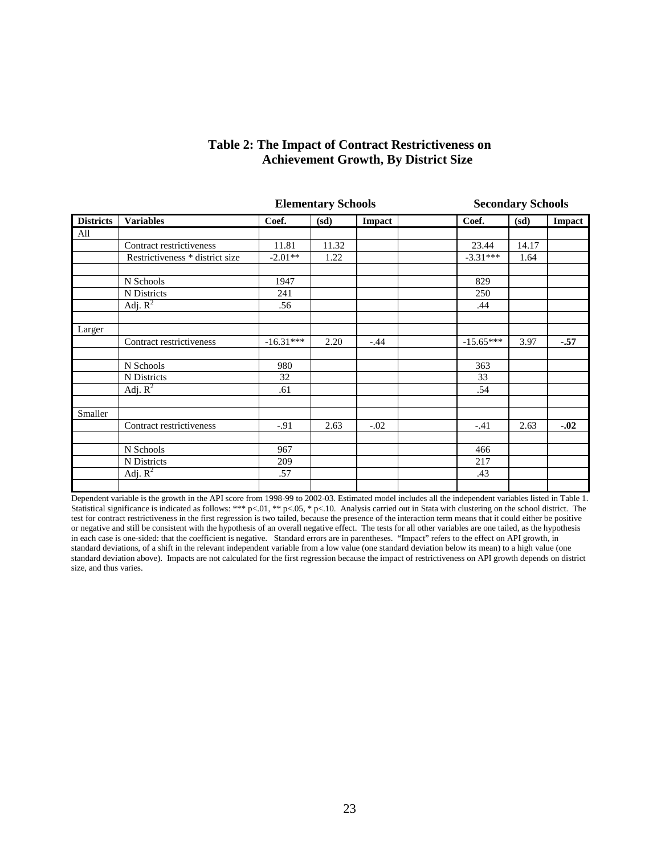|                  |                                 |             | <b>Elementary Schools</b> |               | <b>Secondary Schools</b> |       |        |
|------------------|---------------------------------|-------------|---------------------------|---------------|--------------------------|-------|--------|
| <b>Districts</b> | <b>Variables</b>                | Coef.       | (sd)                      | <b>Impact</b> | Coef.                    | (sd)  | Impact |
| All              |                                 |             |                           |               |                          |       |        |
|                  | Contract restrictiveness        | 11.81       | 11.32                     |               | 23.44                    | 14.17 |        |
|                  | Restrictiveness * district size | $-2.01**$   | 1.22                      |               | $-3.31***$               | 1.64  |        |
|                  |                                 |             |                           |               |                          |       |        |
|                  | N Schools                       | 1947        |                           |               | 829                      |       |        |
|                  | N Districts                     | 241         |                           |               | 250                      |       |        |
|                  | Adj. $R^2$                      | .56         |                           |               | .44                      |       |        |
|                  |                                 |             |                           |               |                          |       |        |
| Larger           |                                 |             |                           |               |                          |       |        |
|                  | Contract restrictiveness        | $-16.31***$ | 2.20                      | $-.44$        | $-15.65***$              | 3.97  | $-.57$ |
|                  |                                 |             |                           |               |                          |       |        |
|                  | N Schools                       | 980         |                           |               | 363                      |       |        |
|                  | N Districts                     | 32          |                           |               | 33                       |       |        |
|                  | Adj. $R^2$                      | .61         |                           |               | .54                      |       |        |
|                  |                                 |             |                           |               |                          |       |        |
| Smaller          |                                 |             |                           |               |                          |       |        |
|                  | Contract restrictiveness        | $-.91$      | 2.63                      | $-.02$        | $-.41$                   | 2.63  | $-.02$ |
|                  | N Schools                       | 967         |                           |               | 466                      |       |        |
|                  |                                 |             |                           |               |                          |       |        |
|                  | N Districts                     | 209         |                           |               | 217                      |       |        |
|                  | Adj. $R^2$                      | .57         |                           |               | .43                      |       |        |
|                  |                                 |             |                           |               |                          |       |        |

# **Table 2: The Impact of Contract Restrictiveness on Achievement Growth, By District Size**

Dependent variable is the growth in the API score from 1998-99 to 2002-03. Estimated model includes all the independent variables listed in Table 1. Statistical significance is indicated as follows: \*\*\* p<.01, \*\* p<.05, \* p<.10. Analysis carried out in Stata with clustering on the school district. The test for contract restrictiveness in the first regression is two tailed, because the presence of the interaction term means that it could either be positive or negative and still be consistent with the hypothesis of an overall negative effect. The tests for all other variables are one tailed, as the hypothesis in each case is one-sided: that the coefficient is negative. Standard errors are in parentheses. "Impact" refers to the effect on API growth, in standard deviations, of a shift in the relevant independent variable from a low value (one standard deviation below its mean) to a high value (one standard deviation above). Impacts are not calculated for the first regression because the impact of restrictiveness on API growth depends on district size, and thus varies.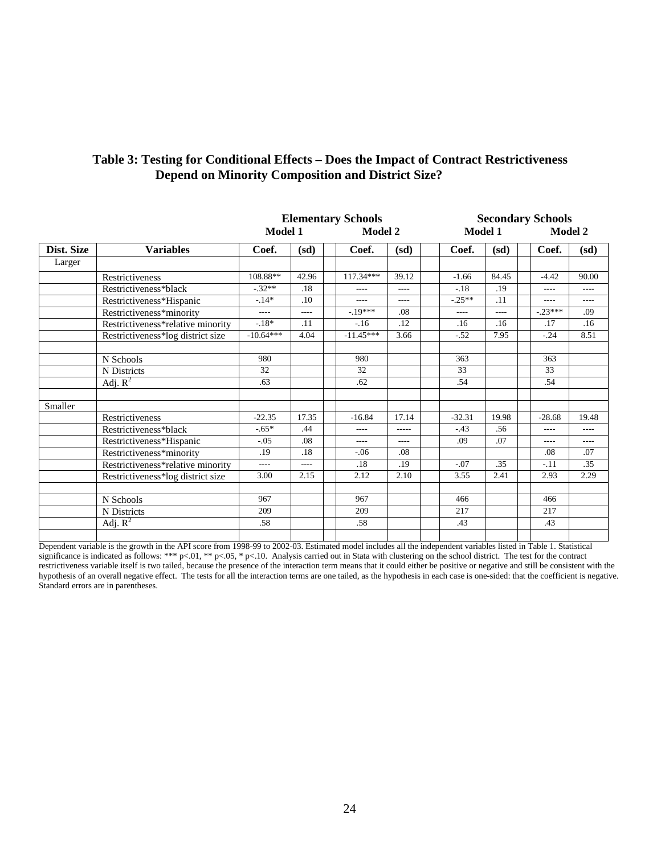| Table 3: Testing for Conditional Effects – Does the Impact of Contract Restrictiveness |
|----------------------------------------------------------------------------------------|
| <b>Depend on Minority Composition and District Size?</b>                               |

|            |                                   | <b>Elementary Schools</b> |       |                |         |          | <b>Secondary Schools</b> |           |                |  |
|------------|-----------------------------------|---------------------------|-------|----------------|---------|----------|--------------------------|-----------|----------------|--|
|            |                                   | Model 1                   |       | <b>Model 2</b> |         |          | Model 1                  |           | <b>Model 2</b> |  |
| Dist. Size | <b>Variables</b>                  | Coef.                     | (sd)  | Coef.          | (sd)    | Coef.    | (sd)                     | Coef.     | (sd)           |  |
| Larger     |                                   |                           |       |                |         |          |                          |           |                |  |
|            | Restrictiveness                   | 108.88**                  | 42.96 | 117.34***      | 39.12   | $-1.66$  | 84.45                    | $-4.42$   | 90.00          |  |
|            | Restrictiveness*black             | $-.32**$                  | .18   | $- - - -$      | ----    | $-.18$   | .19                      | $---$     | $---$          |  |
|            | Restrictiveness*Hispanic          | $-.14*$                   | .10   | ----           | ----    | $-25**$  | .11                      | $---$     | $---$          |  |
|            | Restrictiveness*minority          | $---$                     | ----  | $-19***$       | .08     | $---$    | $---$                    | $-.23***$ | .09            |  |
|            | Restrictiveness*relative minority | $-.18*$                   | .11   | $-16$          | .12     | .16      | .16                      | .17       | .16            |  |
|            | Restrictiveness*log district size | $-10.64***$               | 4.04  | $-11.45***$    | 3.66    | $-.52$   | 7.95                     | $-.24$    | 8.51           |  |
|            |                                   |                           |       |                |         |          |                          |           |                |  |
|            | N Schools                         | 980                       |       | 980            |         | 363      |                          | 363       |                |  |
|            | N Districts                       | 32                        |       | 32             |         | 33       |                          | 33        |                |  |
|            | Adj. $R^2$                        | .63                       |       | .62            |         | .54      |                          | .54       |                |  |
|            |                                   |                           |       |                |         |          |                          |           |                |  |
| Smaller    |                                   |                           |       |                |         |          |                          |           |                |  |
|            | Restrictiveness                   | $-22.35$                  | 17.35 | $-16.84$       | 17.14   | $-32.31$ | 19.98                    | $-28.68$  | 19.48          |  |
|            | Restrictiveness*black             | $-.65*$                   | .44   | ----           | $--- -$ | $-.43$   | .56                      | $---$     | $---$          |  |
|            | Restrictiveness*Hispanic          | $-.05$                    | .08   | ----           | ----    | .09      | .07                      | $---$     | $---$          |  |
|            | Restrictiveness*minority          | .19                       | .18   | $-0.06$        | .08     |          |                          | .08       | .07            |  |
|            | Restrictiveness*relative minority | $---$                     | ----  | .18            | .19     | $-.07$   | .35                      | $-.11$    | .35            |  |
|            | Restrictiveness*log district size | 3.00                      | 2.15  | 2.12           | 2.10    | 3.55     | 2.41                     | 2.93      | 2.29           |  |
|            |                                   |                           |       |                |         |          |                          |           |                |  |
|            | N Schools                         | 967                       |       | 967            |         | 466      |                          | 466       |                |  |
|            | N Districts                       | 209                       |       | 209            |         | 217      |                          | 217       |                |  |
|            | Adj. $\overline{R^2}$             | .58                       |       | .58            |         | .43      |                          | .43       |                |  |
|            |                                   |                           |       |                |         |          |                          |           |                |  |

Dependent variable is the growth in the API score from 1998-99 to 2002-03. Estimated model includes all the independent variables listed in Table 1. Statistical significance is indicated as follows: \*\*\* p<.01, \*\* p<.05, \* p<.10. Analysis carried out in Stata with clustering on the school district. The test for the contract restrictiveness variable itself is two tailed, because the presence of the interaction term means that it could either be positive or negative and still be consistent with the hypothesis of an overall negative effect. The tests for all the interaction terms are one tailed, as the hypothesis in each case is one-sided: that the coefficient is negative. Standard errors are in parentheses.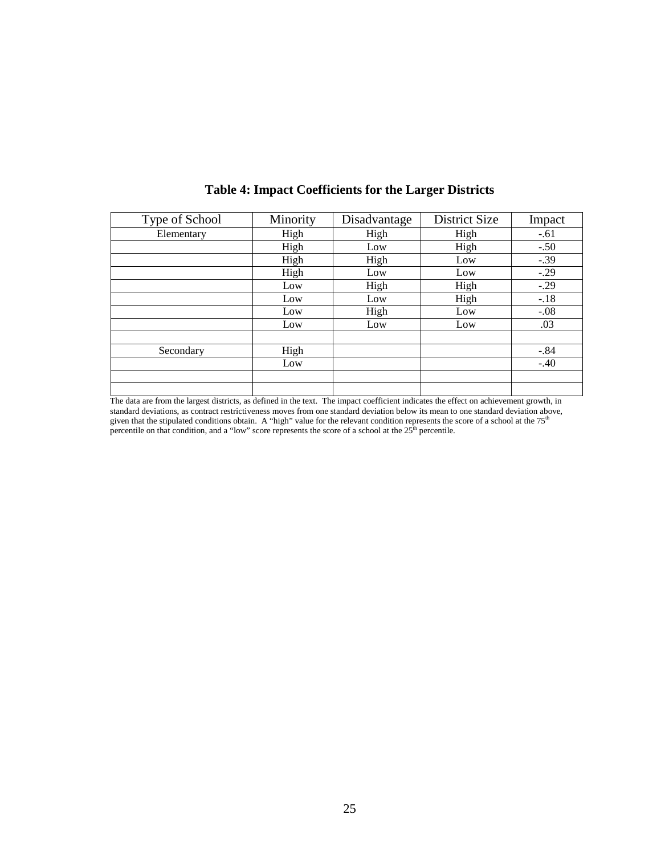| Type of School | Minority | Disadvantage | District Size | Impact |
|----------------|----------|--------------|---------------|--------|
| Elementary     | High     | High         | High          | $-.61$ |
|                | High     | Low          | High          | $-.50$ |
|                | High     | High         | Low           | $-.39$ |
|                | High     | Low          | Low           | $-.29$ |
|                | Low      | High         | High          | $-.29$ |
|                | Low      | Low          | High          | $-.18$ |
|                | Low      | High         | Low           | $-.08$ |
|                | Low      | Low          | Low           | .03    |
|                |          |              |               |        |
| Secondary      | High     |              |               | $-.84$ |
|                | Low      |              |               | $-.40$ |
|                |          |              |               |        |
|                |          |              |               |        |

# **Table 4: Impact Coefficients for the Larger Districts**

The data are from the largest districts, as defined in the text. The impact coefficient indicates the effect on achievement growth, in standard deviations, as contract restrictiveness moves from one standard deviation below its mean to one standard deviation above, given that the stipulated conditions obtain. A "high" value for the relevant condition repr percentile on that condition, and a "low" score represents the score of a school at the  $25<sup>th</sup>$  percentile.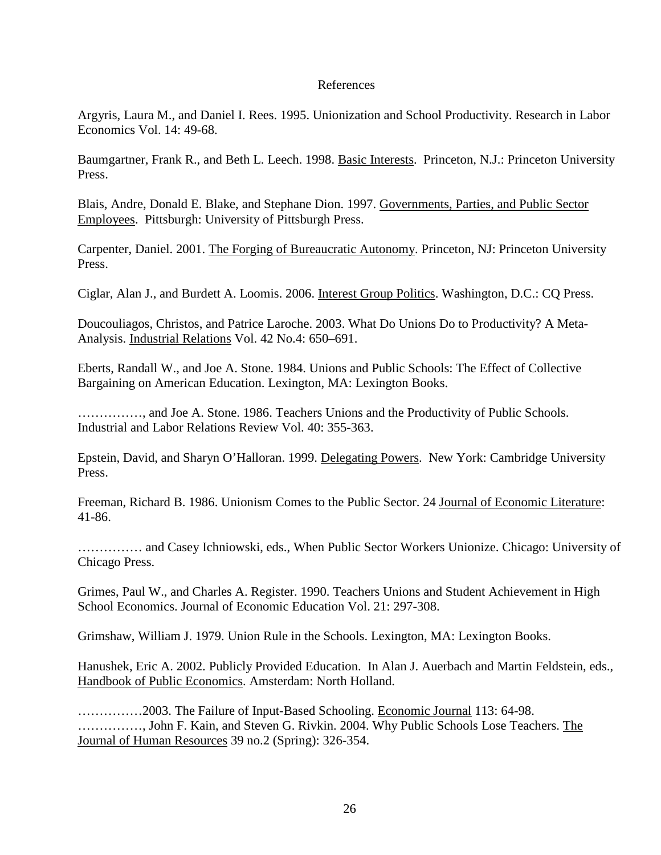## References

Argyris, Laura M., and Daniel I. Rees. 1995. Unionization and School Productivity. Research in Labor Economics Vol. 14: 49-68.

Baumgartner, Frank R., and Beth L. Leech. 1998. Basic Interests. Princeton, N.J.: Princeton University Press.

Blais, Andre, Donald E. Blake, and Stephane Dion. 1997. Governments, Parties, and Public Sector Employees. Pittsburgh: University of Pittsburgh Press.

Carpenter, Daniel. 2001. The Forging of Bureaucratic Autonomy. Princeton, NJ: Princeton University Press.

Ciglar, Alan J., and Burdett A. Loomis. 2006. Interest Group Politics. Washington, D.C.: CQ Press.

Doucouliagos, Christos, and Patrice Laroche. 2003. What Do Unions Do to Productivity? A Meta-Analysis. Industrial Relations Vol. 42 No.4: 650–691.

Eberts, Randall W., and Joe A. Stone. 1984. Unions and Public Schools: The Effect of Collective Bargaining on American Education. Lexington, MA: Lexington Books.

……………, and Joe A. Stone. 1986. Teachers Unions and the Productivity of Public Schools. Industrial and Labor Relations Review Vol. 40: 355-363.

Epstein, David, and Sharyn O'Halloran. 1999. Delegating Powers. New York: Cambridge University Press.

Freeman, Richard B. 1986. Unionism Comes to the Public Sector. 24 Journal of Economic Literature: 41-86.

…………… and Casey Ichniowski, eds., When Public Sector Workers Unionize. Chicago: University of Chicago Press.

Grimes, Paul W., and Charles A. Register. 1990. Teachers Unions and Student Achievement in High School Economics. Journal of Economic Education Vol. 21: 297-308.

Grimshaw, William J. 1979. Union Rule in the Schools. Lexington, MA: Lexington Books.

Hanushek, Eric A. 2002. Publicly Provided Education. In Alan J. Auerbach and Martin Feldstein, eds., Handbook of Public Economics. Amsterdam: North Holland.

……………2003. The Failure of Input-Based Schooling. Economic Journal 113: 64-98. ……………, John F. Kain, and Steven G. Rivkin. 2004. Why Public Schools Lose Teachers. The Journal of Human Resources 39 no.2 (Spring): 326-354.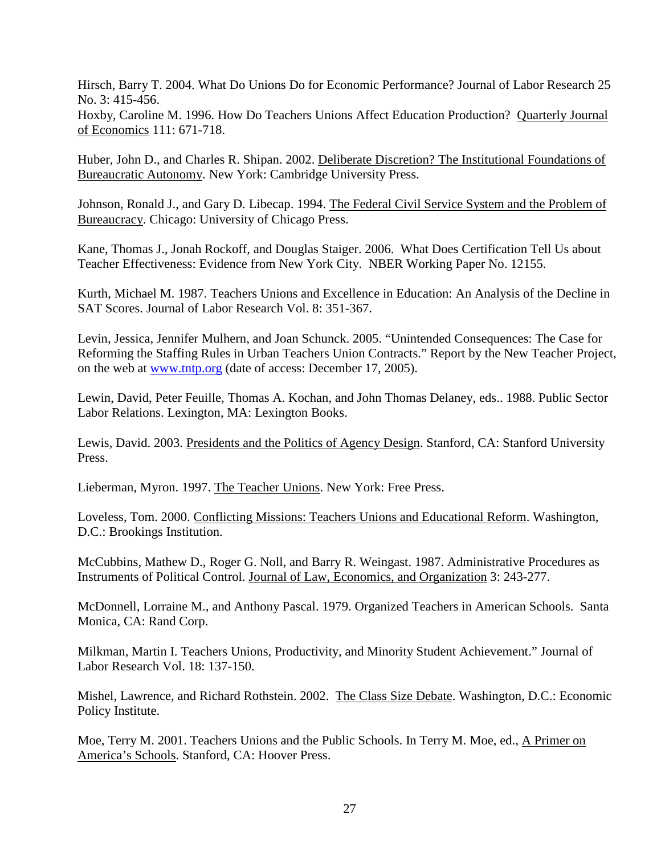Hirsch, Barry T. 2004. What Do Unions Do for Economic Performance? Journal of Labor Research 25 No. 3: 415-456.

Hoxby, Caroline M. 1996. How Do Teachers Unions Affect Education Production? Quarterly Journal of Economics 111: 671-718.

Huber, John D., and Charles R. Shipan. 2002. Deliberate Discretion? The Institutional Foundations of Bureaucratic Autonomy. New York: Cambridge University Press.

Johnson, Ronald J., and Gary D. Libecap. 1994. The Federal Civil Service System and the Problem of Bureaucracy. Chicago: University of Chicago Press.

Kane, Thomas J., Jonah Rockoff, and Douglas Staiger. 2006. What Does Certification Tell Us about Teacher Effectiveness: Evidence from New York City. NBER Working Paper No. 12155.

Kurth, Michael M. 1987. Teachers Unions and Excellence in Education: An Analysis of the Decline in SAT Scores. Journal of Labor Research Vol. 8: 351-367.

Levin, Jessica, Jennifer Mulhern, and Joan Schunck. 2005. "Unintended Consequences: The Case for Reforming the Staffing Rules in Urban Teachers Union Contracts." Report by the New Teacher Project, on the web at [www.tntp.org](http://www.tntp.org/) (date of access: December 17, 2005).

Lewin, David, Peter Feuille, Thomas A. Kochan, and John Thomas Delaney, eds.. 1988. Public Sector Labor Relations. Lexington, MA: Lexington Books.

Lewis, David. 2003. Presidents and the Politics of Agency Design. Stanford, CA: Stanford University Press.

Lieberman, Myron. 1997. The Teacher Unions. New York: Free Press.

Loveless, Tom. 2000. Conflicting Missions: Teachers Unions and Educational Reform. Washington, D.C.: Brookings Institution.

McCubbins, Mathew D., Roger G. Noll, and Barry R. Weingast. 1987. Administrative Procedures as Instruments of Political Control. Journal of Law, Economics, and Organization 3: 243-277.

McDonnell, Lorraine M., and Anthony Pascal. 1979. Organized Teachers in American Schools. Santa Monica, CA: Rand Corp.

Milkman, Martin I. Teachers Unions, Productivity, and Minority Student Achievement." Journal of Labor Research Vol. 18: 137-150.

Mishel, Lawrence, and Richard Rothstein. 2002. The Class Size Debate. Washington, D.C.: Economic Policy Institute.

Moe, Terry M. 2001. Teachers Unions and the Public Schools. In Terry M. Moe, ed., A Primer on America's Schools. Stanford, CA: Hoover Press.